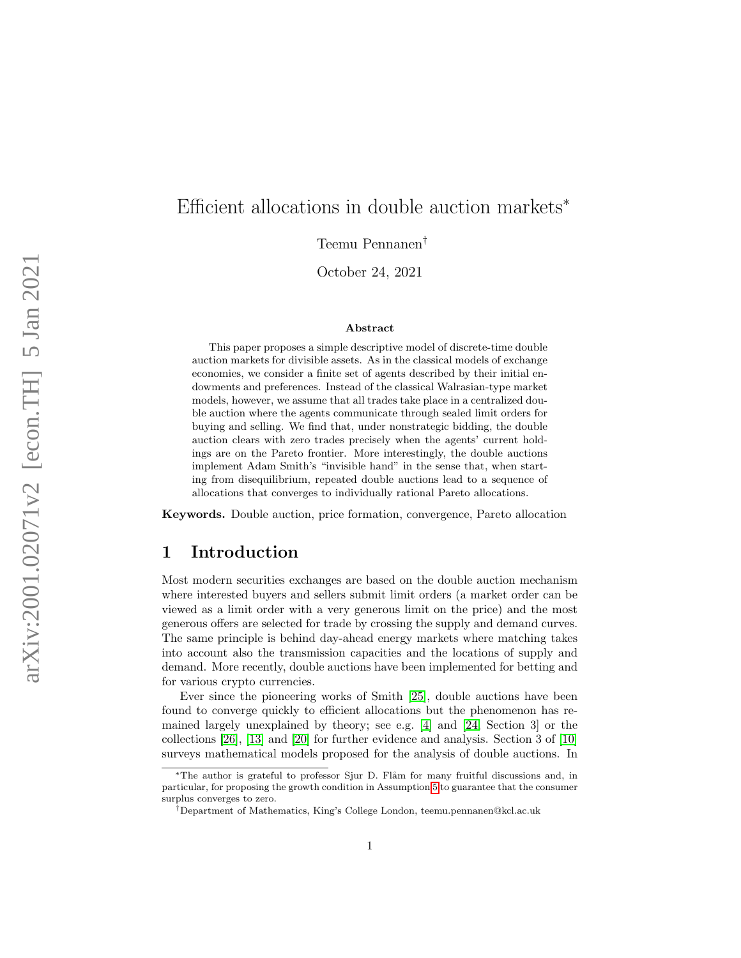# Efficient allocations in double auction markets<sup>\*</sup>

Teemu Pennanen †

October 24, 2021

#### Abstract

This paper proposes a simple descriptive model of discrete-time double auction markets for divisible assets. As in the classical models of exchange economies, we consider a finite set of agents described by their initial endowments and preferences. Instead of the classical Walrasian-type market models, however, we assume that all trades take place in a centralized double auction where the agents communicate through sealed limit orders for buying and selling. We find that, under nonstrategic bidding, the double auction clears with zero trades precisely when the agents' current holdings are on the Pareto frontier. More interestingly, the double auctions implement Adam Smith's "invisible hand" in the sense that, when starting from disequilibrium, repeated double auctions lead to a sequence of allocations that converges to individually rational Pareto allocations.

Keywords. Double auction, price formation, convergence, Pareto allocation

#### 1 Introduction

Most modern securities exchanges are based on the double auction mechanism where interested buyers and sellers submit limit orders (a market order can be viewed as a limit order with a very generous limit on the price) and the most generous offers are selected for trade by crossing the supply and demand curves. The same principle is behind day-ahead energy markets where matching takes into account also the transmission capacities and the locations of supply and demand. More recently, double auctions have been implemented for betting and for various crypto currencies.

Ever since the pioneering works of Smith [\[25\]](#page-22-0), double auctions have been found to converge quickly to efficient allocations but the phenomenon has remained largely unexplained by theory; see e.g. [\[4\]](#page-21-0) and [\[24,](#page-22-1) Section 3] or the collections [\[26\]](#page-23-0), [\[13\]](#page-22-2) and [\[20\]](#page-22-3) for further evidence and analysis. Section 3 of [\[10\]](#page-22-4) surveys mathematical models proposed for the analysis of double auctions. In

<sup>\*</sup>The author is grateful to professor Sjur D. Flåm for many fruitful discussions and, in particular, for proposing the growth condition in Assumption [5](#page-16-0) to guarantee that the consumer surplus converges to zero.

<sup>†</sup>Department of Mathematics, King's College London, teemu.pennanen@kcl.ac.uk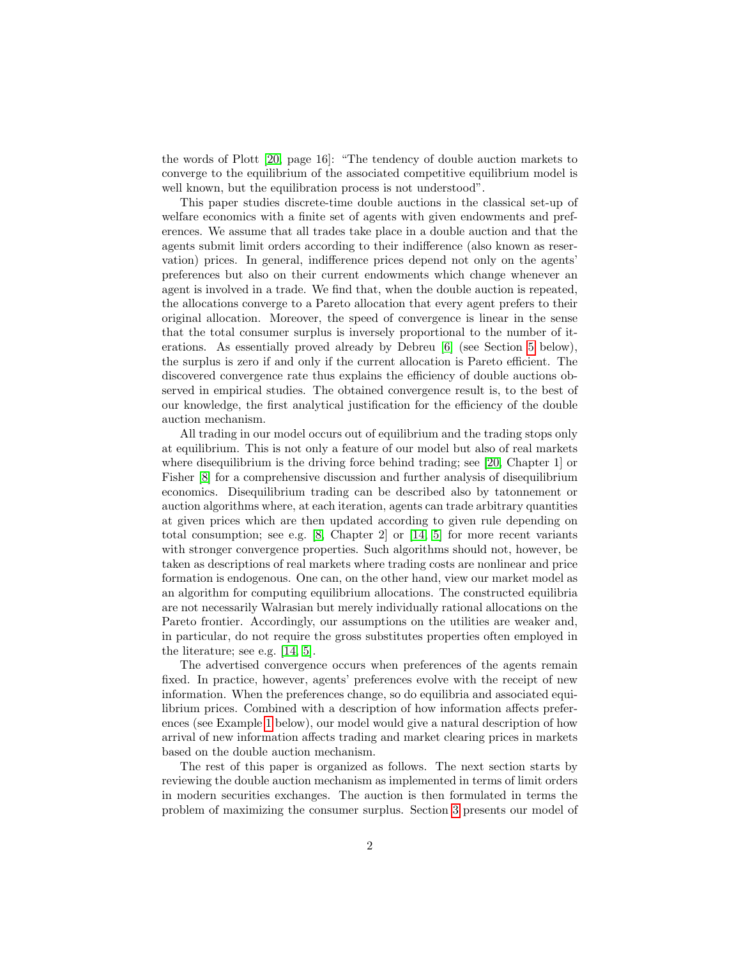the words of Plott [\[20,](#page-22-3) page 16]: "The tendency of double auction markets to converge to the equilibrium of the associated competitive equilibrium model is well known, but the equilibration process is not understood".

This paper studies discrete-time double auctions in the classical set-up of welfare economics with a finite set of agents with given endowments and preferences. We assume that all trades take place in a double auction and that the agents submit limit orders according to their indifference (also known as reservation) prices. In general, indifference prices depend not only on the agents' preferences but also on their current endowments which change whenever an agent is involved in a trade. We find that, when the double auction is repeated, the allocations converge to a Pareto allocation that every agent prefers to their original allocation. Moreover, the speed of convergence is linear in the sense that the total consumer surplus is inversely proportional to the number of iterations. As essentially proved already by Debreu [\[6\]](#page-21-1) (see Section [5](#page-13-0) below), the surplus is zero if and only if the current allocation is Pareto efficient. The discovered convergence rate thus explains the efficiency of double auctions observed in empirical studies. The obtained convergence result is, to the best of our knowledge, the first analytical justification for the efficiency of the double auction mechanism.

All trading in our model occurs out of equilibrium and the trading stops only at equilibrium. This is not only a feature of our model but also of real markets where disequilibrium is the driving force behind trading; see [\[20,](#page-22-3) Chapter 1] or Fisher [\[8\]](#page-21-2) for a comprehensive discussion and further analysis of disequilibrium economics. Disequilibrium trading can be described also by tatonnement or auction algorithms where, at each iteration, agents can trade arbitrary quantities at given prices which are then updated according to given rule depending on total consumption; see e.g. [\[8,](#page-21-2) Chapter 2] or [\[14,](#page-22-5) [5\]](#page-21-3) for more recent variants with stronger convergence properties. Such algorithms should not, however, be taken as descriptions of real markets where trading costs are nonlinear and price formation is endogenous. One can, on the other hand, view our market model as an algorithm for computing equilibrium allocations. The constructed equilibria are not necessarily Walrasian but merely individually rational allocations on the Pareto frontier. Accordingly, our assumptions on the utilities are weaker and, in particular, do not require the gross substitutes properties often employed in the literature; see e.g. [\[14,](#page-22-5) [5\]](#page-21-3).

The advertised convergence occurs when preferences of the agents remain fixed. In practice, however, agents' preferences evolve with the receipt of new information. When the preferences change, so do equilibria and associated equilibrium prices. Combined with a description of how information affects preferences (see Example [1](#page-8-0) below), our model would give a natural description of how arrival of new information affects trading and market clearing prices in markets based on the double auction mechanism.

The rest of this paper is organized as follows. The next section starts by reviewing the double auction mechanism as implemented in terms of limit orders in modern securities exchanges. The auction is then formulated in terms the problem of maximizing the consumer surplus. Section [3](#page-6-0) presents our model of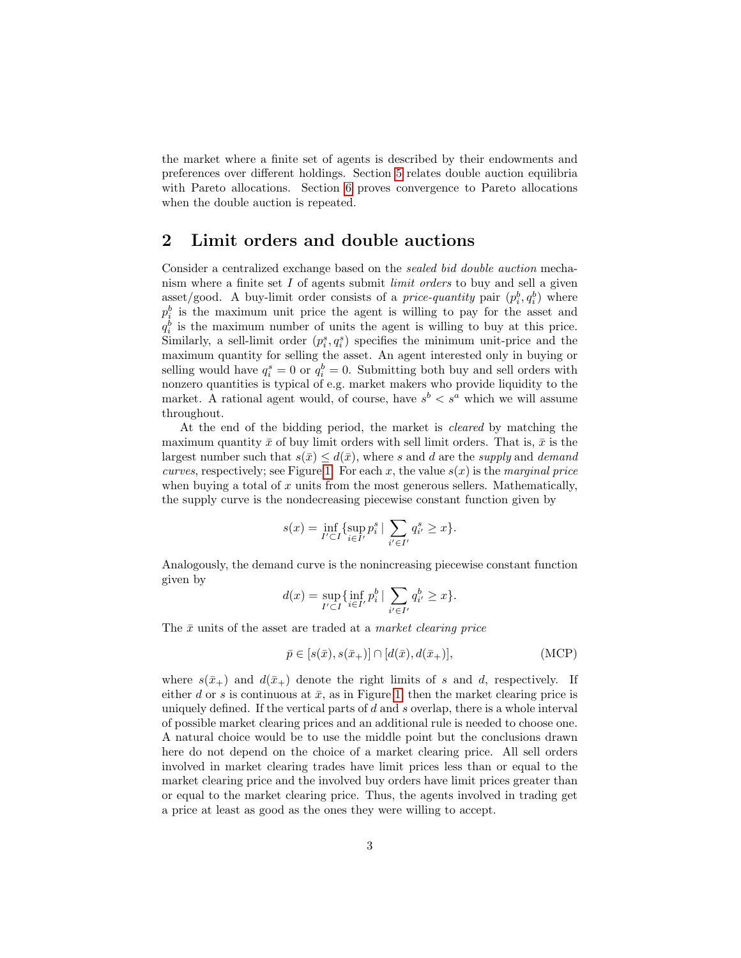the market where a finite set of agents is described by their endowments and preferences over different holdings. Section [5](#page-13-0) relates double auction equilibria with Pareto allocations. Section [6](#page-16-1) proves convergence to Pareto allocations when the double auction is repeated.

#### <span id="page-2-1"></span>2 Limit orders and double auctions

Consider a centralized exchange based on the sealed bid double auction mechanism where a finite set I of agents submit limit orders to buy and sell a given asset/good. A buy-limit order consists of a *price-quantity* pair  $(p_i^b, q_i^b)$  where  $p_i^b$  is the maximum unit price the agent is willing to pay for the asset and  $q_i^b$  is the maximum number of units the agent is willing to buy at this price. Similarly, a sell-limit order  $(p_i^s, q_i^s)$  specifies the minimum unit-price and the maximum quantity for selling the asset. An agent interested only in buying or selling would have  $q_i^s = 0$  or  $q_i^b = 0$ . Submitting both buy and sell orders with nonzero quantities is typical of e.g. market makers who provide liquidity to the market. A rational agent would, of course, have  $s^b < s^a$  which we will assume throughout.

At the end of the bidding period, the market is cleared by matching the maximum quantity  $\bar{x}$  of buy limit orders with sell limit orders. That is,  $\bar{x}$  is the largest number such that  $s(\bar{x}) \leq d(\bar{x})$ , where s and d are the supply and demand *curves*, respectively; see Figure [1.](#page-3-0) For each x, the value  $s(x)$  is the marginal price when buying a total of  $x$  units from the most generous sellers. Mathematically, the supply curve is the nondecreasing piecewise constant function given by

$$
s(x) = \inf_{I' \subset I} \{ \sup_{i \in I'} p_i^s \mid \sum_{i' \in I'} q_{i'}^s \ge x \}.
$$

Analogously, the demand curve is the nonincreasing piecewise constant function given by

$$
d(x) = \sup_{I' \subset I} \{ \inf_{i \in I'} p_i^b \mid \sum_{i' \in I'} q_{i'}^b \ge x \}.
$$

The  $\bar{x}$  units of the asset are traded at a *market clearing price* 

<span id="page-2-0"></span>
$$
\bar{p} \in [s(\bar{x}), s(\bar{x}_+) ] \cap [d(\bar{x}), d(\bar{x}_+)], \tag{MCP}
$$

where  $s(\bar{x}_+)$  and  $d(\bar{x}_+)$  denote the right limits of s and d, respectively. If either d or s is continuous at  $\bar{x}$ , as in Figure [1,](#page-3-0) then the market clearing price is uniquely defined. If the vertical parts of  $d$  and  $s$  overlap, there is a whole interval of possible market clearing prices and an additional rule is needed to choose one. A natural choice would be to use the middle point but the conclusions drawn here do not depend on the choice of a market clearing price. All sell orders involved in market clearing trades have limit prices less than or equal to the market clearing price and the involved buy orders have limit prices greater than or equal to the market clearing price. Thus, the agents involved in trading get a price at least as good as the ones they were willing to accept.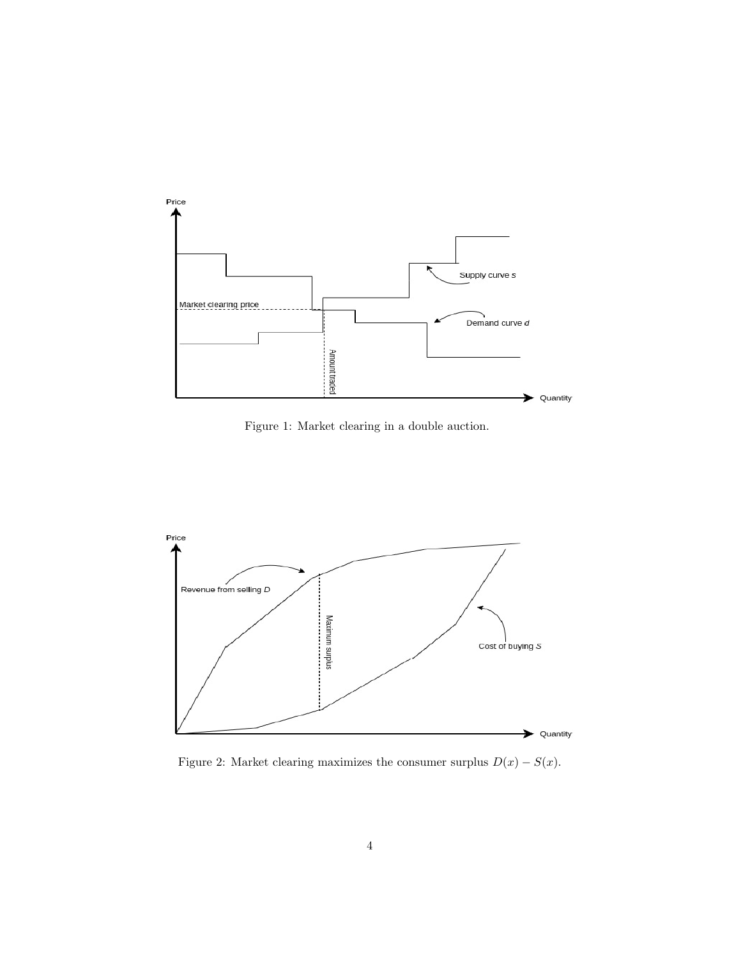

<span id="page-3-0"></span>Figure 1: Market clearing in a double auction.



<span id="page-3-1"></span>Figure 2: Market clearing maximizes the consumer surplus  $D(x) - S(x)$ .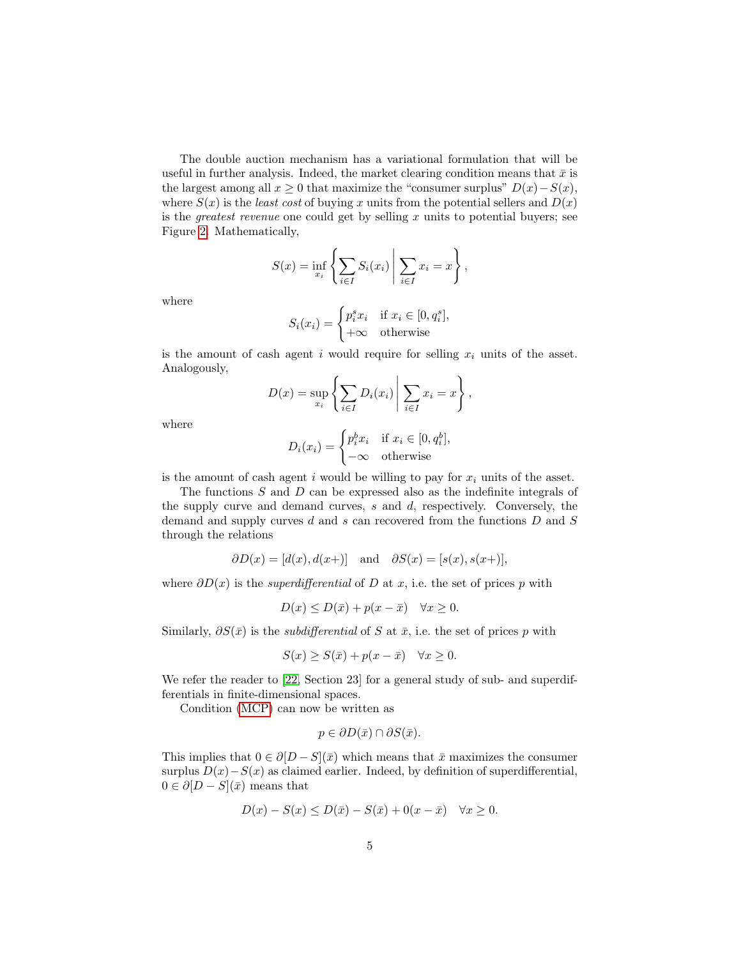The double auction mechanism has a variational formulation that will be useful in further analysis. Indeed, the market clearing condition means that  $\bar{x}$  is the largest among all  $x \geq 0$  that maximize the "consumer surplus"  $D(x) - S(x)$ , where  $S(x)$  is the least cost of buying x units from the potential sellers and  $D(x)$ is the *greatest revenue* one could get by selling  $x$  units to potential buyers; see Figure [2.](#page-3-1) Mathematically,

$$
S(x) = \inf_{x_i} \left\{ \sum_{i \in I} S_i(x_i) \middle| \sum_{i \in I} x_i = x \right\},\,
$$

where

$$
S_i(x_i) = \begin{cases} p_i^s x_i & \text{if } x_i \in [0, q_i^s], \\ +\infty & \text{otherwise} \end{cases}
$$

is the amount of cash agent i would require for selling  $x_i$  units of the asset. Analogously,  $\overline{a}$ 

$$
D(x) = \sup_{x_i} \left\{ \sum_{i \in I} D_i(x_i) \middle| \sum_{i \in I} x_i = x \right\},\,
$$

where

$$
D_i(x_i) = \begin{cases} p_i^b x_i & \text{if } x_i \in [0, q_i^b], \\ -\infty & \text{otherwise} \end{cases}
$$

is the amount of cash agent i would be willing to pay for  $x_i$  units of the asset.

The functions  $S$  and  $D$  can be expressed also as the indefinite integrals of the supply curve and demand curves, s and d, respectively. Conversely, the demand and supply curves d and s can recovered from the functions D and S through the relations

$$
\partial D(x) = [d(x), d(x+)]
$$
 and  $\partial S(x) = [s(x), s(x+)],$ 

where  $\partial D(x)$  is the *superdifferential* of D at x, i.e. the set of prices p with

$$
D(x) \le D(\bar{x}) + p(x - \bar{x}) \quad \forall x \ge 0.
$$

Similarly,  $\partial S(\bar{x})$  is the *subdifferential* of S at  $\bar{x}$ , i.e. the set of prices p with

$$
S(x) \ge S(\bar{x}) + p(x - \bar{x}) \quad \forall x \ge 0.
$$

We refer the reader to [\[22,](#page-22-6) Section 23] for a general study of sub- and superdifferentials in finite-dimensional spaces.

Condition [\(MCP\)](#page-2-0) can now be written as

$$
p \in \partial D(\bar{x}) \cap \partial S(\bar{x}).
$$

This implies that  $0 \in \partial [D - S](\bar{x})$  which means that  $\bar{x}$  maximizes the consumer surplus  $D(x)-S(x)$  as claimed earlier. Indeed, by definition of superdifferential,  $0 \in \partial [D - S](\bar{x})$  means that

$$
D(x) - S(x) \le D(\bar{x}) - S(\bar{x}) + 0(x - \bar{x}) \quad \forall x \ge 0.
$$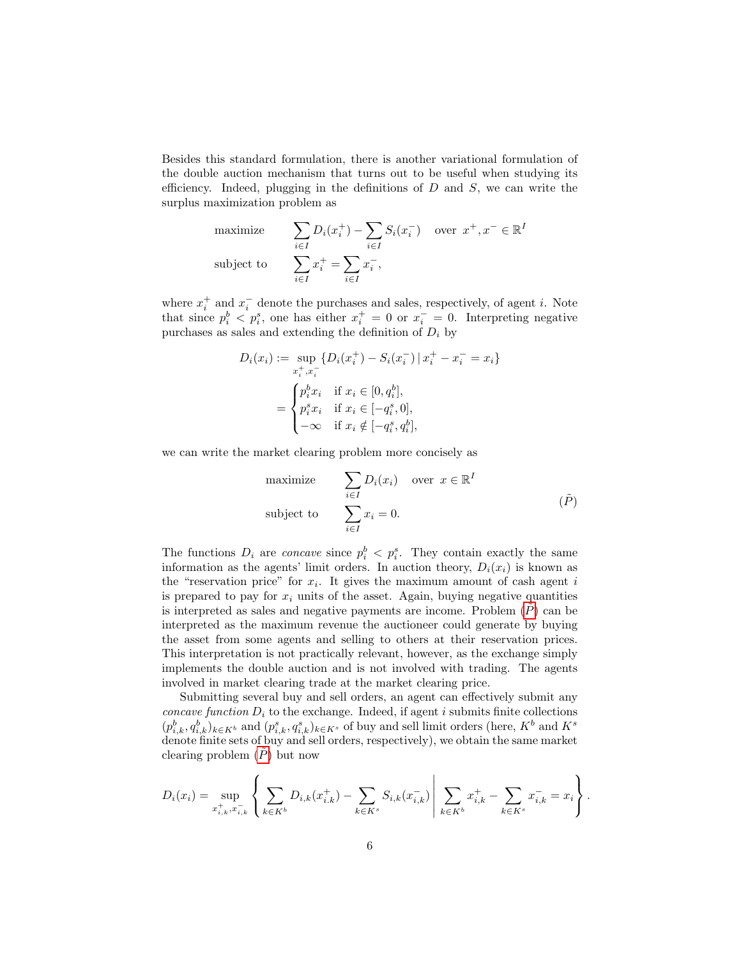Besides this standard formulation, there is another variational formulation of the double auction mechanism that turns out to be useful when studying its efficiency. Indeed, plugging in the definitions of  $D$  and  $S$ , we can write the surplus maximization problem as

$$
\begin{aligned}\n\text{maximize} & \sum_{i \in I} D_i(x_i^+) - \sum_{i \in I} S_i(x_i^-) \quad \text{over } x^+, x^- \in \mathbb{R}^I \\
\text{subject to} & \sum_{i \in I} x_i^+ = \sum_{i \in I} x_i^-, \\
\end{aligned}
$$

where  $x_i^+$  and  $x_i^-$  denote the purchases and sales, respectively, of agent *i*. Note that since  $p_i^b < p_i^s$ , one has either  $x_i^+ = 0$  or  $x_i^- = 0$ . Interpreting negative purchases as sales and extending the definition of  $D_i$  by

$$
D_i(x_i) := \sup_{x_i^+, x_i^-} \{ D_i(x_i^+) - S_i(x_i^-) \, | \, x_i^+ - x_i^- = x_i \}
$$
  
= 
$$
\begin{cases} p_i^b x_i & \text{if } x_i \in [0, q_i^b], \\ p_i^s x_i & \text{if } x_i \in [-q_i^s, 0], \\ -\infty & \text{if } x_i \notin [-q_i^s, q_i^b], \end{cases}
$$

we can write the market clearing problem more concisely as

<span id="page-5-0"></span>maximize 
$$
\sum_{i \in I} D_i(x_i) \quad \text{over } x \in \mathbb{R}^I
$$
  
subject to 
$$
\sum_{i \in I} x_i = 0.
$$
  $(\tilde{P})$ 

The functions  $D_i$  are *concave* since  $p_i^b < p_i^s$ . They contain exactly the same information as the agents' limit orders. In auction theory,  $D_i(x_i)$  is known as the "reservation price" for  $x_i$ . It gives the maximum amount of cash agent i is prepared to pay for  $x_i$  units of the asset. Again, buying negative quantities is interpreted as sales and negative payments are income. Problem  $(\tilde{P})$  can be interpreted as the maximum revenue the auctioneer could generate by buying the asset from some agents and selling to others at their reservation prices. This interpretation is not practically relevant, however, as the exchange simply implements the double auction and is not involved with trading. The agents involved in market clearing trade at the market clearing price.

Submitting several buy and sell orders, an agent can effectively submit any concave function  $D_i$  to the exchange. Indeed, if agent i submits finite collections  $(p_{i,k}^b, q_{i,k}^b)_{k \in K^b}$  and  $(p_{i,k}^s, q_{i,k}^s)_{k \in K^s}$  of buy and sell limit orders (here,  $K^b$  and  $K^s$ denote finite sets of buy and sell orders, respectively), we obtain the same market clearing problem  $(P)$  but now

$$
D_i(x_i) = \sup_{x_{i,k}^+, x_{i,k}^-} \left\{ \sum_{k \in K^b} D_{i,k}(x_{i,k}^+) - \sum_{k \in K^s} S_{i,k}(x_{i,k}^-) \middle| \sum_{k \in K^b} x_{i,k}^+ - \sum_{k \in K^s} x_{i,k}^- = x_i \right\}.
$$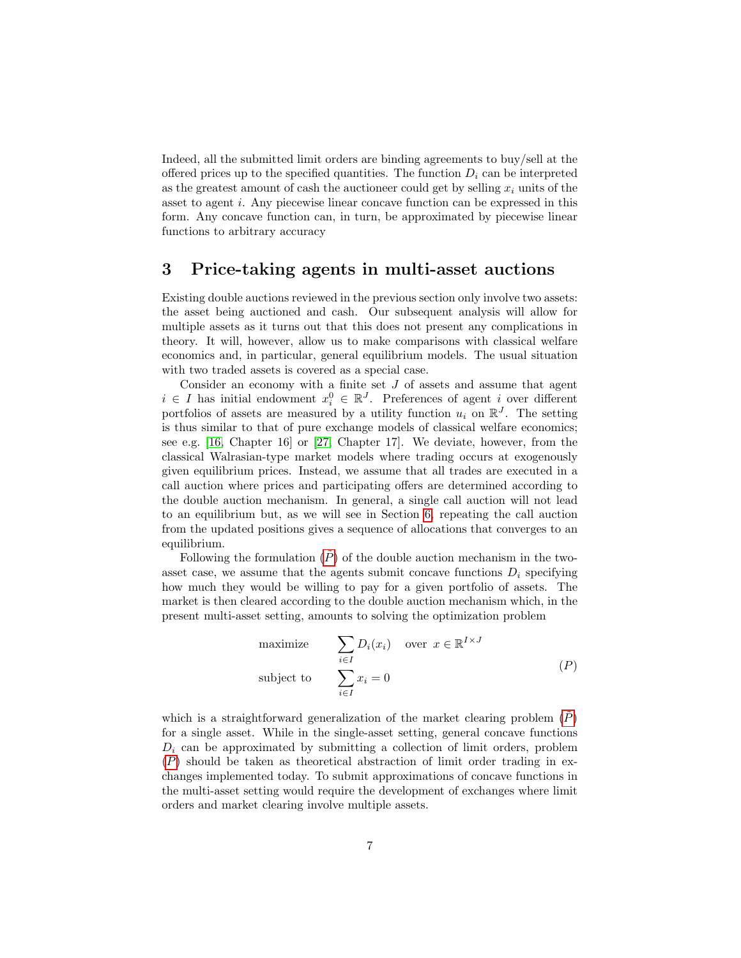Indeed, all the submitted limit orders are binding agreements to buy/sell at the offered prices up to the specified quantities. The function  $D_i$  can be interpreted as the greatest amount of cash the auctioneer could get by selling  $x_i$  units of the asset to agent i. Any piecewise linear concave function can be expressed in this form. Any concave function can, in turn, be approximated by piecewise linear functions to arbitrary accuracy

#### <span id="page-6-0"></span>3 Price-taking agents in multi-asset auctions

Existing double auctions reviewed in the previous section only involve two assets: the asset being auctioned and cash. Our subsequent analysis will allow for multiple assets as it turns out that this does not present any complications in theory. It will, however, allow us to make comparisons with classical welfare economics and, in particular, general equilibrium models. The usual situation with two traded assets is covered as a special case.

Consider an economy with a finite set  $J$  of assets and assume that agent  $i \in I$  has initial endowment  $x_i^0 \in \mathbb{R}^J$ . Preferences of agent i over different portfolios of assets are measured by a utility function  $u_i$  on  $\mathbb{R}^J$ . The setting is thus similar to that of pure exchange models of classical welfare economics; see e.g.  $[16, Chapter 16]$  $[16, Chapter 16]$  or  $[27, Chapter 17]$  $[27, Chapter 17]$ . We deviate, however, from the classical Walrasian-type market models where trading occurs at exogenously given equilibrium prices. Instead, we assume that all trades are executed in a call auction where prices and participating offers are determined according to the double auction mechanism. In general, a single call auction will not lead to an equilibrium but, as we will see in Section [6,](#page-16-1) repeating the call auction from the updated positions gives a sequence of allocations that converges to an equilibrium.

Following the formulation  $(\tilde{P})$  of the double auction mechanism in the twoasset case, we assume that the agents submit concave functions  $D_i$  specifying how much they would be willing to pay for a given portfolio of assets. The market is then cleared according to the double auction mechanism which, in the present multi-asset setting, amounts to solving the optimization problem

<span id="page-6-2"></span><span id="page-6-1"></span>maximize 
$$
\sum_{i \in I} D_i(x_i) \quad \text{over } x \in \mathbb{R}^{I \times J}
$$
  
subject to 
$$
\sum_{i \in I} x_i = 0
$$
 (P)

which is a straightforward generalization of the market clearing problem  $(\hat{P})$ for a single asset. While in the single-asset setting, general concave functions  $D_i$  can be approximated by submitting a collection of limit orders, problem  $(P)$  $(P)$  $(P)$  should be taken as theoretical abstraction of limit order trading in exchanges implemented today. To submit approximations of concave functions in the multi-asset setting would require the development of exchanges where limit orders and market clearing involve multiple assets.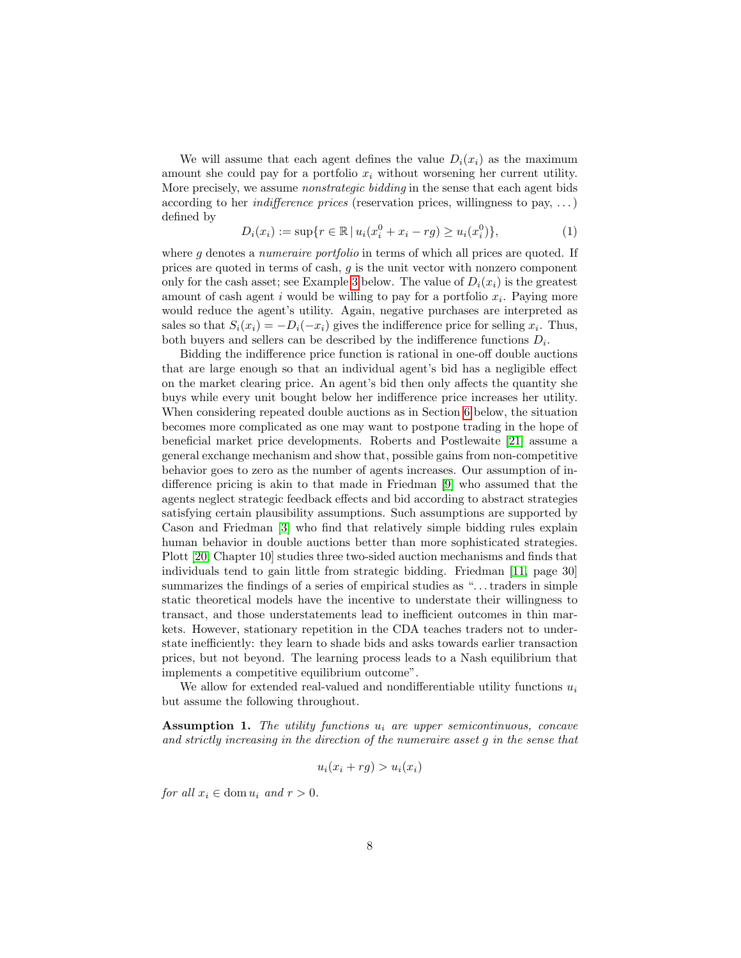We will assume that each agent defines the value  $D_i(x_i)$  as the maximum amount she could pay for a portfolio  $x_i$  without worsening her current utility. More precisely, we assume *nonstrategic bidding* in the sense that each agent bids according to her *indifference prices* (reservation prices, willingness to pay,  $\dots$ ) defined by

$$
D_i(x_i) := \sup\{r \in \mathbb{R} \mid u_i(x_i^0 + x_i - rg) \ge u_i(x_i^0)\},\tag{1}
$$

where  $g$  denotes a *numeraire portfolio* in terms of which all prices are quoted. If prices are quoted in terms of cash, g is the unit vector with nonzero component only for the cash asset; see Example [3](#page-9-0) below. The value of  $D_i(x_i)$  is the greatest amount of cash agent  $i$  would be willing to pay for a portfolio  $x_i$ . Paying more would reduce the agent's utility. Again, negative purchases are interpreted as sales so that  $S_i(x_i) = -D_i(-x_i)$  gives the indifference price for selling  $x_i$ . Thus, both buyers and sellers can be described by the indifference functions  $D_i$ .

Bidding the indifference price function is rational in one-off double auctions that are large enough so that an individual agent's bid has a negligible effect on the market clearing price. An agent's bid then only affects the quantity she buys while every unit bought below her indifference price increases her utility. When considering repeated double auctions as in Section [6](#page-16-1) below, the situation becomes more complicated as one may want to postpone trading in the hope of beneficial market price developments. Roberts and Postlewaite [\[21\]](#page-22-8) assume a general exchange mechanism and show that, possible gains from non-competitive behavior goes to zero as the number of agents increases. Our assumption of indifference pricing is akin to that made in Friedman [\[9\]](#page-21-4) who assumed that the agents neglect strategic feedback effects and bid according to abstract strategies satisfying certain plausibility assumptions. Such assumptions are supported by Cason and Friedman [\[3\]](#page-21-5) who find that relatively simple bidding rules explain human behavior in double auctions better than more sophisticated strategies. Plott [\[20,](#page-22-3) Chapter 10] studies three two-sided auction mechanisms and finds that individuals tend to gain little from strategic bidding. Friedman [\[11,](#page-22-9) page 30] summarizes the findings of a series of empirical studies as "...traders in simple static theoretical models have the incentive to understate their willingness to transact, and those understatements lead to inefficient outcomes in thin markets. However, stationary repetition in the CDA teaches traders not to understate inefficiently: they learn to shade bids and asks towards earlier transaction prices, but not beyond. The learning process leads to a Nash equilibrium that implements a competitive equilibrium outcome".

We allow for extended real-valued and nondifferentiable utility functions  $u_i$ but assume the following throughout.

<span id="page-7-0"></span>**Assumption 1.** The utility functions  $u_i$  are upper semicontinuous, concave and strictly increasing in the direction of the numeraire asset g in the sense that

$$
u_i(x_i + rg) > u_i(x_i)
$$

for all  $x_i \in \text{dom } u_i$  and  $r > 0$ .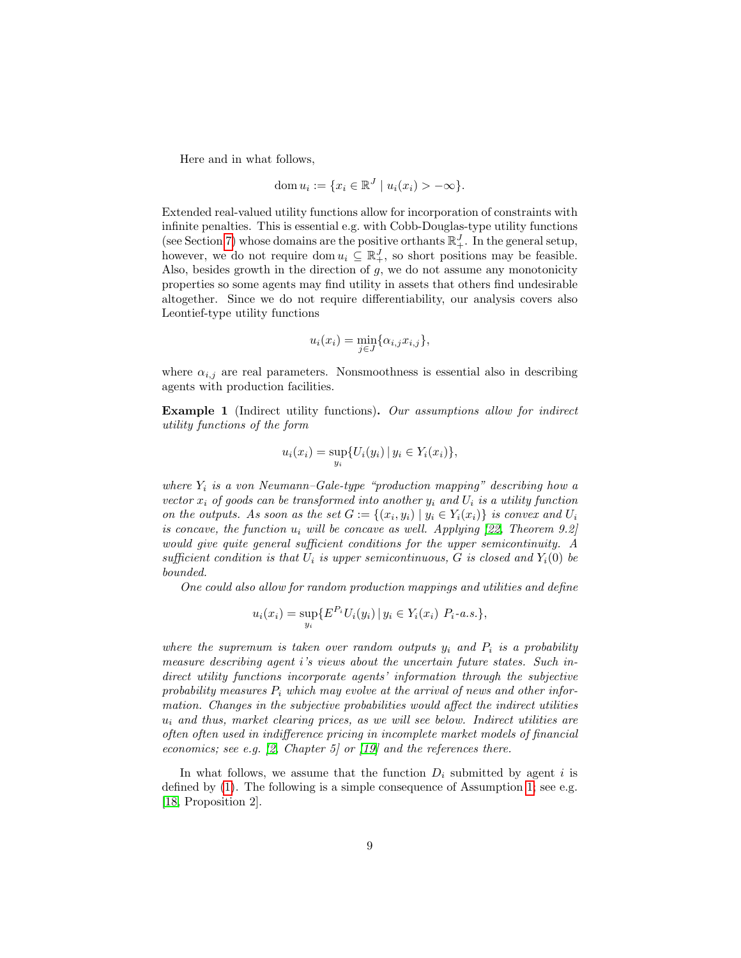Here and in what follows,

$$
\operatorname{dom} u_i := \{ x_i \in \mathbb{R}^J \mid u_i(x_i) > -\infty \}.
$$

Extended real-valued utility functions allow for incorporation of constraints with infinite penalties. This is essential e.g. with Cobb-Douglas-type utility functions (see Section [7\)](#page-19-0) whose domains are the positive orthants  $\mathbb{R}^J_+$ . In the general setup, however, we do not require dom  $u_i \subseteq \mathbb{R}^J_+$ , so short positions may be feasible. Also, besides growth in the direction of  $g$ , we do not assume any monotonicity properties so some agents may find utility in assets that others find undesirable altogether. Since we do not require differentiability, our analysis covers also Leontief-type utility functions

$$
u_i(x_i) = \min_{j \in J} \{ \alpha_{i,j} x_{i,j} \},\
$$

where  $\alpha_{i,j}$  are real parameters. Nonsmoothness is essential also in describing agents with production facilities.

<span id="page-8-0"></span>Example 1 (Indirect utility functions). Our assumptions allow for indirect utility functions of the form

$$
u_i(x_i) = \sup_{y_i} \{ U_i(y_i) \, | \, y_i \in Y_i(x_i) \},
$$

where  $Y_i$  is a von Neumann–Gale-type "production mapping" describing how a vector  $x_i$  of goods can be transformed into another  $y_i$  and  $U_i$  is a utility function on the outputs. As soon as the set  $G := \{(x_i, y_i) \mid y_i \in Y_i(x_i)\}\$ is convex and  $U_i$ is concave, the function  $u_i$  will be concave as well. Applying [\[22,](#page-22-6) Theorem 9.2] would give quite general sufficient conditions for the upper semicontinuity. A sufficient condition is that  $U_i$  is upper semicontinuous, G is closed and  $Y_i(0)$  be bounded.

One could also allow for random production mappings and utilities and define

$$
u_i(x_i) = \sup_{y_i} \{ E^{P_i} U_i(y_i) \, | \, y_i \in Y_i(x_i) \, P_i \text{-}a.s. \},
$$

where the supremum is taken over random outputs  $y_i$  and  $P_i$  is a probability measure describing agent i's views about the uncertain future states. Such indirect utility functions incorporate agents' information through the subjective probability measures  $P_i$  which may evolve at the arrival of news and other information. Changes in the subjective probabilities would affect the indirect utilities  $u_i$  and thus, market clearing prices, as we will see below. Indirect utilities are often often used in indifference pricing in incomplete market models of financial economics; see e.g.  $\beta$ , Chapter 5 or  $\beta$  and the references there.

In what follows, we assume that the function  $D_i$  submitted by agent i is defined by [\(1\)](#page-6-2). The following is a simple consequence of Assumption [1;](#page-7-0) see e.g. [\[18,](#page-22-11) Proposition 2].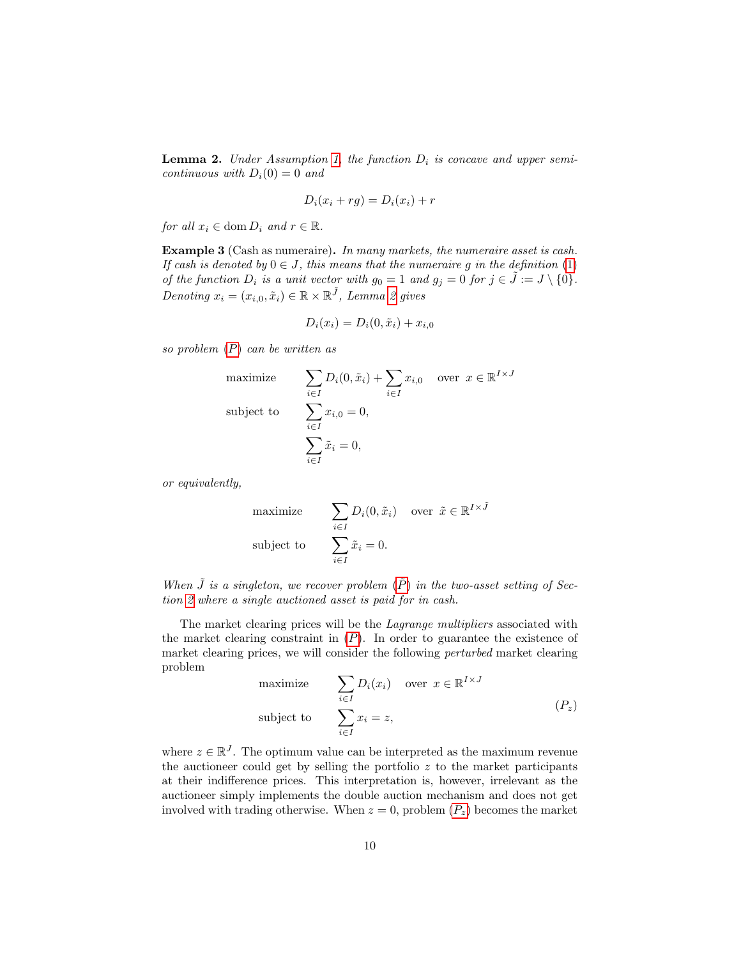<span id="page-9-1"></span>**Lemma 2.** Under Assumption [1,](#page-7-0) the function  $D_i$  is concave and upper semicontinuous with  $D_i(0) = 0$  and

$$
D_i(x_i + rg) = D_i(x_i) + r
$$

for all  $x_i \in \text{dom } D_i$  and  $r \in \mathbb{R}$ .

<span id="page-9-0"></span>Example 3 (Cash as numeraire). In many markets, the numeraire asset is cash. If cash is denoted by  $0 \in J$ , this means that the numeraire q in the definition [\(1\)](#page-6-2) of the function  $D_i$  is a unit vector with  $g_0 = 1$  and  $g_j = 0$  for  $j \in \tilde{J} := J \setminus \{0\}.$ Denoting  $x_i = (x_{i,0}, \tilde{x}_i) \in \mathbb{R} \times \mathbb{R}^{\tilde{J}}$ , Lemma [2](#page-9-1) gives

$$
D_i(x_i) = D_i(0, \tilde{x}_i) + x_{i,0}
$$

so problem  $(P)$  $(P)$  $(P)$  can be written as

maximize 
$$
\sum_{i \in I} D_i(0, \tilde{x}_i) + \sum_{i \in I} x_{i,0} \text{ over } x \in \mathbb{R}^{I \times J}
$$
  
subject to 
$$
\sum_{i \in I} x_{i,0} = 0,
$$

$$
\sum_{i \in I} \tilde{x}_i = 0,
$$

or equivalently,

maximize 
$$
\sum_{i \in I} D_i(0, \tilde{x}_i) \quad \text{over } \tilde{x} \in \mathbb{R}^{I \times \tilde{J}}
$$
  
subject to 
$$
\sum_{i \in I} \tilde{x}_i = 0.
$$

When  $\tilde{J}$  is a singleton, we recover problem  $(\tilde{P})$  in the two-asset setting of Section [2](#page-2-1) where a single auctioned asset is paid for in cash.

The market clearing prices will be the *Lagrange multipliers* associated with the market clearing constraint in  $(P)$  $(P)$  $(P)$ . In order to guarantee the existence of market clearing prices, we will consider the following perturbed market clearing problem

<span id="page-9-3"></span><span id="page-9-2"></span>maximize 
$$
\sum_{i \in I} D_i(x_i) \quad \text{over } x \in \mathbb{R}^{I \times J}
$$
  
subject to 
$$
\sum_{i \in I} x_i = z,
$$
 (P<sub>z</sub>)

where  $z \in \mathbb{R}^J$ . The optimum value can be interpreted as the maximum revenue the auctioneer could get by selling the portfolio  $z$  to the market participants at their indifference prices. This interpretation is, however, irrelevant as the auctioneer simply implements the double auction mechanism and does not get involved with trading otherwise. When  $z = 0$ , problem  $(P_z)$  $(P_z)$  $(P_z)$  becomes the market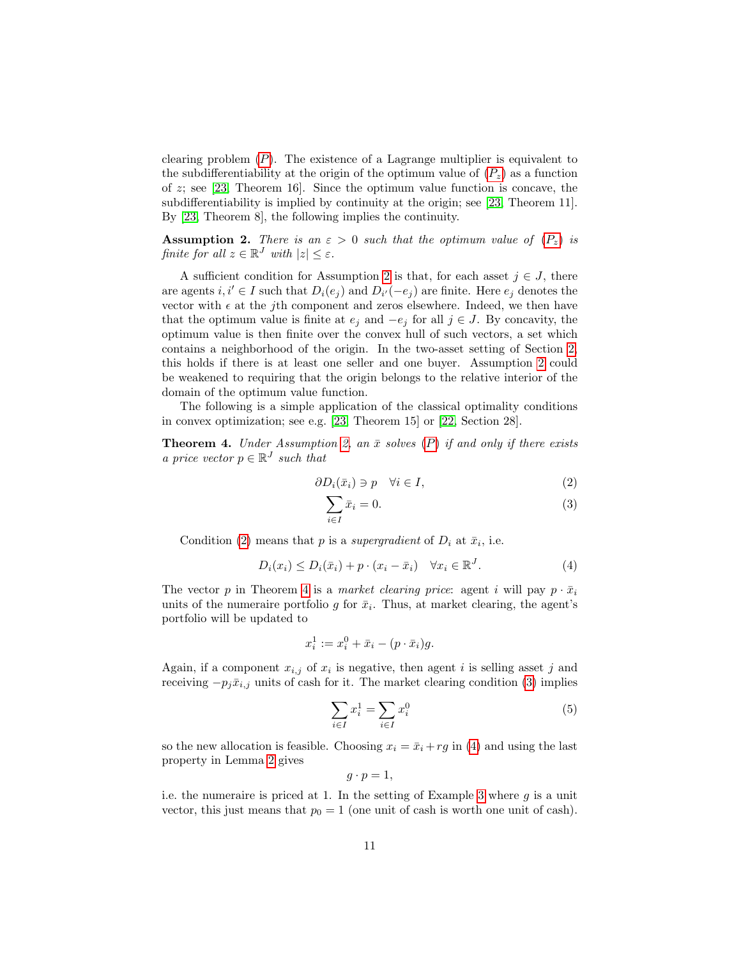clearing problem  $(P)$  $(P)$  $(P)$ . The existence of a Lagrange multiplier is equivalent to the subdifferentiability at the origin of the optimum value of  $(P_z)$  $(P_z)$  $(P_z)$  as a function of  $z$ ; see [\[23,](#page-22-12) Theorem 16]. Since the optimum value function is concave, the subdifferentiability is implied by continuity at the origin; see [\[23,](#page-22-12) Theorem 11]. By [\[23,](#page-22-12) Theorem 8], the following implies the continuity.

<span id="page-10-0"></span>**Assumption 2.** There is an  $\varepsilon > 0$  such that the optimum value of  $(P_z)$  $(P_z)$  $(P_z)$  is finite for all  $z \in \mathbb{R}^J$  with  $|z| \leq \varepsilon$ .

A sufficient condition for Assumption [2](#page-10-0) is that, for each asset  $j \in J$ , there are agents  $i, i' \in I$  such that  $D_i(e_j)$  and  $D_{i'}(-e_j)$  are finite. Here  $e_j$  denotes the vector with  $\epsilon$  at the *j*th component and zeros elsewhere. Indeed, we then have that the optimum value is finite at  $e_j$  and  $-e_j$  for all  $j \in J$ . By concavity, the optimum value is then finite over the convex hull of such vectors, a set which contains a neighborhood of the origin. In the two-asset setting of Section [2,](#page-2-1) this holds if there is at least one seller and one buyer. Assumption [2](#page-10-0) could be weakened to requiring that the origin belongs to the relative interior of the domain of the optimum value function.

The following is a simple application of the classical optimality conditions in convex optimization; see e.g. [\[23,](#page-22-12) Theorem 15] or [\[22,](#page-22-6) Section 28].

<span id="page-10-1"></span>**Theorem 4.** Under Assumption [2,](#page-10-0) an  $\bar{x}$  solves ([P](#page-6-1)) if and only if there exists a price vector  $p \in \mathbb{R}^J$  such that

$$
\partial D_i(\bar{x}_i) \ni p \quad \forall i \in I,\tag{2}
$$

<span id="page-10-2"></span>
$$
\sum_{i \in I} \bar{x}_i = 0. \tag{3}
$$

Condition [\(2\)](#page-9-3) means that p is a supergradient of  $D_i$  at  $\bar{x}_i$ , i.e.

<span id="page-10-3"></span>
$$
D_i(x_i) \le D_i(\bar{x}_i) + p \cdot (x_i - \bar{x}_i) \quad \forall x_i \in \mathbb{R}^J. \tag{4}
$$

The vector p in Theorem [4](#page-10-1) is a market clearing price: agent i will pay  $p \cdot \bar{x}_i$ units of the numeraire portfolio g for  $\bar{x}_i$ . Thus, at market clearing, the agent's portfolio will be updated to

$$
x_i^1 := x_i^0 + \bar{x}_i - (p \cdot \bar{x}_i)g.
$$

Again, if a component  $x_{i,j}$  of  $x_i$  is negative, then agent i is selling asset j and receiving  $-p_j\bar{x}_{i,j}$  units of cash for it. The market clearing condition [\(3\)](#page-10-2) implies

<span id="page-10-4"></span>
$$
\sum_{i \in I} x_i^1 = \sum_{i \in I} x_i^0 \tag{5}
$$

so the new allocation is feasible. Choosing  $x_i = \bar{x}_i + rg$  in [\(4\)](#page-10-3) and using the last property in Lemma [2](#page-9-1) gives

$$
g\cdot p=1,
$$

i.e. the numeraire is priced at 1. In the setting of Example [3](#page-9-0) where  $g$  is a unit vector, this just means that  $p_0 = 1$  (one unit of cash is worth one unit of cash).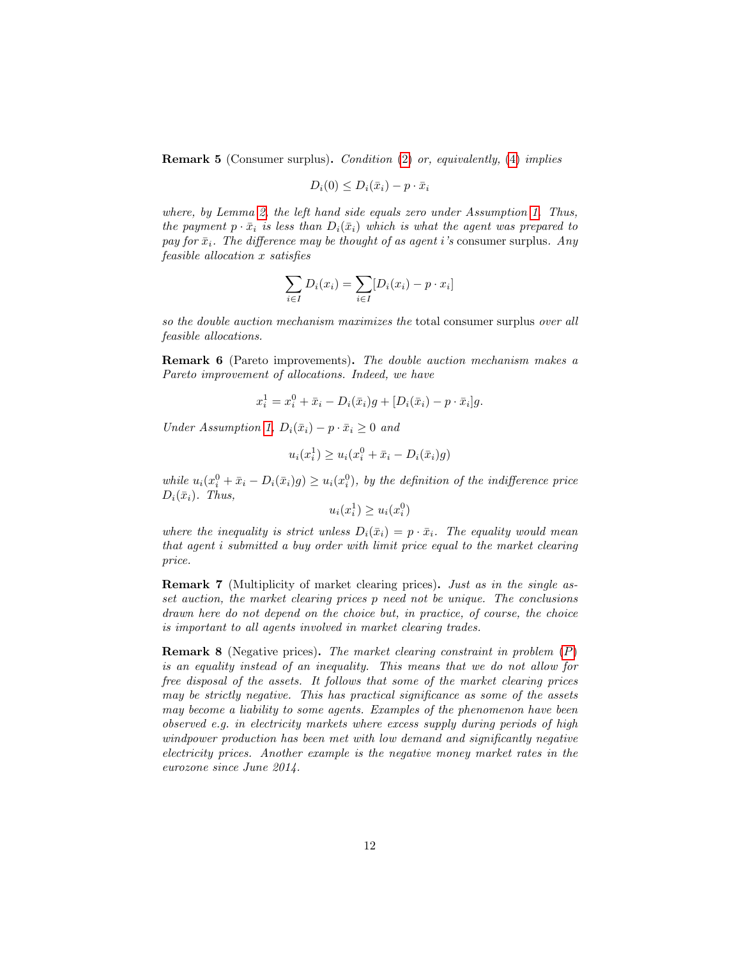<span id="page-11-0"></span>Remark 5 (Consumer surplus). Condition [\(2\)](#page-9-3) or, equivalently, [\(4\)](#page-10-3) implies

$$
D_i(0) \le D_i(\bar{x}_i) - p \cdot \bar{x}_i
$$

where, by Lemma [2,](#page-9-1) the left hand side equals zero under Assumption [1.](#page-7-0) Thus, the payment  $p \cdot \bar{x}_i$  is less than  $D_i(\bar{x}_i)$  which is what the agent was prepared to pay for  $\bar{x}_i$ . The difference may be thought of as agent i's consumer surplus. Any feasible allocation x satisfies

$$
\sum_{i \in I} D_i(x_i) = \sum_{i \in I} [D_i(x_i) - p \cdot x_i]
$$

so the double auction mechanism maximizes the total consumer surplus over all feasible allocations.

<span id="page-11-1"></span>Remark 6 (Pareto improvements). The double auction mechanism makes a Pareto improvement of allocations. Indeed, we have

$$
x_i^1 = x_i^0 + \bar{x}_i - D_i(\bar{x}_i)g + [D_i(\bar{x}_i) - p \cdot \bar{x}_i]g.
$$

Under Assumption [1,](#page-7-0)  $D_i(\bar{x}_i) - p \cdot \bar{x}_i \geq 0$  and

$$
u_i(x_i^1) \ge u_i(x_i^0 + \bar{x}_i - D_i(\bar{x}_i)g)
$$

while  $u_i(x_i^0 + \bar{x}_i - D_i(\bar{x}_i)g) \ge u_i(x_i^0)$ , by the definition of the indifference price  $D_i(\bar{x}_i)$ . Thus,

$$
u_i(x_i^1) \ge u_i(x_i^0)
$$

where the inequality is strict unless  $D_i(\bar{x}_i) = p \cdot \bar{x}_i$ . The equality would mean that agent i submitted a buy order with limit price equal to the market clearing price.

Remark 7 (Multiplicity of market clearing prices). Just as in the single asset auction, the market clearing prices p need not be unique. The conclusions drawn here do not depend on the choice but, in practice, of course, the choice is important to all agents involved in market clearing trades.

Remark 8 (Negative prices). The market clearing constraint in problem ([P](#page-6-1)) is an equality instead of an inequality. This means that we do not allow for free disposal of the assets. It follows that some of the market clearing prices may be strictly negative. This has practical significance as some of the assets may become a liability to some agents. Examples of the phenomenon have been observed e.g. in electricity markets where excess supply during periods of high windpower production has been met with low demand and significantly negative electricity prices. Another example is the negative money market rates in the eurozone since June 2014.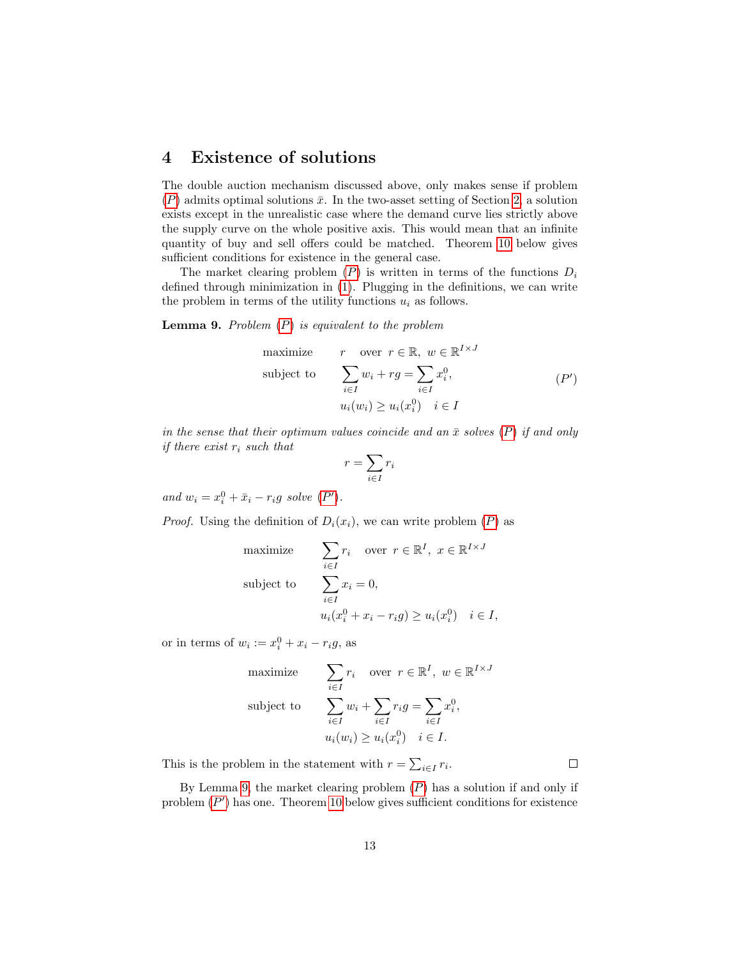#### 4 Existence of solutions

The double auction mechanism discussed above, only makes sense if problem  $(P)$  $(P)$  $(P)$  admits optimal solutions  $\bar{x}$ . In the two-asset setting of Section [2,](#page-2-1) a solution exists except in the unrealistic case where the demand curve lies strictly above the supply curve on the whole positive axis. This would mean that an infinite quantity of buy and sell offers could be matched. Theorem [10](#page-13-1) below gives sufficient conditions for existence in the general case.

The market clearing problem  $(P)$  $(P)$  $(P)$  is written in terms of the functions  $D_i$ defined through minimization in [\(1\)](#page-6-2). Plugging in the definitions, we can write the problem in terms of the utility functions  $u_i$  as follows.

<span id="page-12-1"></span>**Lemma 9.** [P](#page-6-1)roblem  $(P)$  is equivalent to the problem

maximize 
$$
r
$$
 over  $r \in \mathbb{R}$ ,  $w \in \mathbb{R}^{I \times J}$   
\nsubject to 
$$
\sum_{i \in I} w_i + rg = \sum_{i \in I} x_i^0,
$$

$$
u_i(w_i) \ge u_i(x_i^0) \quad i \in I
$$
 (P')

in the sense that their optimum values coincide and an  $\bar{x}$  solves  $(P)$  $(P)$  $(P)$  if and only if there exist  $r_i$  such that

<span id="page-12-0"></span>
$$
r = \sum_{i \in I} r_i
$$

and  $w_i = x_i^0 + \bar{x}_i - r_i g$  solve  $(P')$  $(P')$  $(P')$ .

*[P](#page-6-1)roof.* Using the definition of  $D_i(x_i)$ , we can write problem  $(P)$  as

maximize 
$$
\sum_{i \in I} r_i \quad \text{over } r \in \mathbb{R}^I, \ x \in \mathbb{R}^{I \times J}
$$
  
subject to 
$$
\sum_{i \in I} x_i = 0,
$$

$$
u_i(x_i^0 + x_i - r_i g) \ge u_i(x_i^0) \quad i \in I,
$$

or in terms of  $w_i := x_i^0 + x_i - r_i g$ , as

maximize 
$$
\sum_{i \in I} r_i \quad \text{over } r \in \mathbb{R}^I, \ w \in \mathbb{R}^{I \times J}
$$
  
subject to 
$$
\sum_{i \in I} w_i + \sum_{i \in I} r_i g = \sum_{i \in I} x_i^0,
$$

$$
u_i(w_i) \ge u_i(x_i^0) \quad i \in I.
$$

This is the problem in the statement with  $r = \sum_{i \in I} r_i$ .

By Lemma [9,](#page-12-1) the market clearing problem  $(P)$  $(P)$  $(P)$  has a solution if and only if problem  $(P')$  $(P')$  $(P')$  has one. Theorem [10](#page-13-1) below gives sufficient conditions for existence

 $\Box$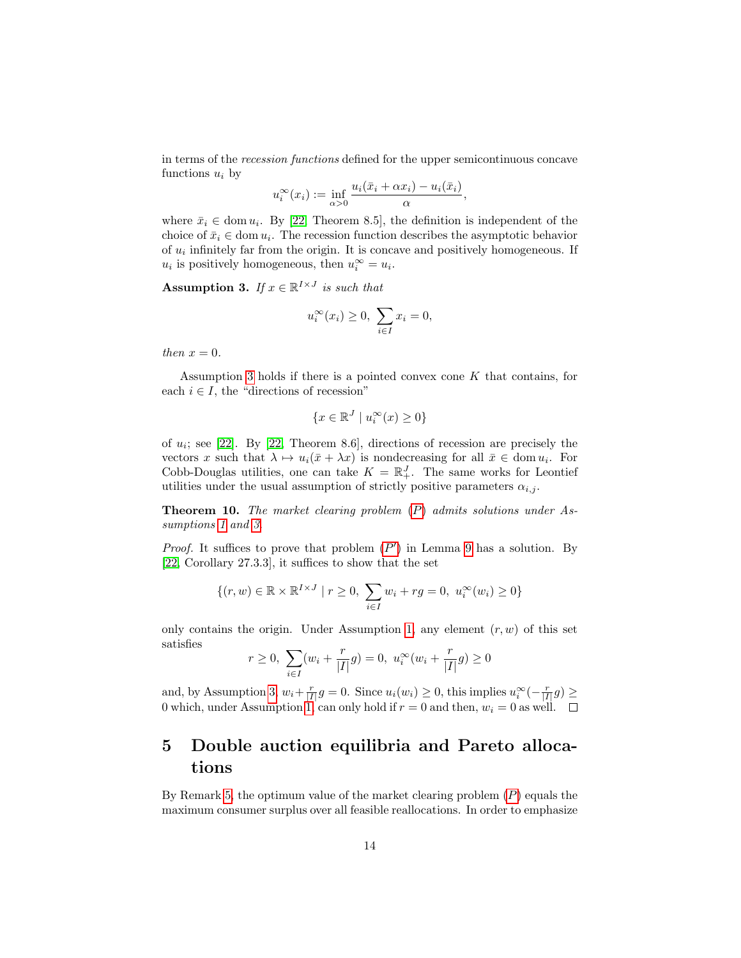in terms of the recession functions defined for the upper semicontinuous concave functions  $u_i$  by

$$
u_i^{\infty}(x_i) := \inf_{\alpha > 0} \frac{u_i(\bar{x}_i + \alpha x_i) - u_i(\bar{x}_i)}{\alpha},
$$

where  $\bar{x}_i \in \text{dom } u_i$ . By [\[22,](#page-22-6) Theorem 8.5], the definition is independent of the choice of  $\bar{x}_i \in \text{dom } u_i$ . The recession function describes the asymptotic behavior of  $u_i$  infinitely far from the origin. It is concave and positively homogeneous. If  $u_i$  is positively homogeneous, then  $u_i^{\infty} = u_i$ .

<span id="page-13-2"></span>Assumption 3. If  $x \in \mathbb{R}^{I \times J}$  is such that

$$
u_i^{\infty}(x_i) \ge 0, \sum_{i \in I} x_i = 0,
$$

then  $x = 0$ .

Assumption [3](#page-13-2) holds if there is a pointed convex cone  $K$  that contains, for each  $i \in I$ , the "directions of recession"

$$
\{x \in \mathbb{R}^J \mid u_i^\infty(x) \ge 0\}
$$

of  $u_i$ ; see [\[22\]](#page-22-6). By [\[22,](#page-22-6) Theorem 8.6], directions of recession are precisely the vectors x such that  $\lambda \mapsto u_i(\bar{x} + \lambda x)$  is nondecreasing for all  $\bar{x} \in \text{dom } u_i$ . For Cobb-Douglas utilities, one can take  $K = \mathbb{R}^J_+$ . The same works for Leontief utilities under the usual assumption of strictly positive parameters  $\alpha_{i,j}$ .

<span id="page-13-1"></span>**Theorem 10.** The market clearing problem  $(P)$  $(P)$  $(P)$  admits solutions under As-sumptions [1](#page-7-0) and [3.](#page-13-2)

*[P](#page-12-0)roof.* It suffices to prove that problem  $(P')$  in Lemma [9](#page-12-1) has a solution. By [\[22,](#page-22-6) Corollary 27.3.3], it suffices to show that the set

$$
\{(r, w) \in \mathbb{R} \times \mathbb{R}^{I \times J} \mid r \ge 0, \sum_{i \in I} w_i + rg = 0, u_i^{\infty}(w_i) \ge 0\}
$$

only contains the origin. Under Assumption [1,](#page-7-0) any element  $(r, w)$  of this set satisfies

$$
r \ge 0
$$
,  $\sum_{i \in I} (w_i + \frac{r}{|I|}g) = 0$ ,  $u_i^{\infty}(w_i + \frac{r}{|I|}g) \ge 0$ 

and, by Assumption [3,](#page-13-2)  $w_i + \frac{r}{|I|}g = 0$ . Since  $u_i(w_i) \geq 0$ , this implies  $u_i^{\infty}(-\frac{r}{|I|}g) \geq$ 0 which, under Assumption [1,](#page-7-0) can only hold if  $r = 0$  and then,  $w_i = 0$  as well.  $\Box$ 

## <span id="page-13-0"></span>5 Double auction equilibria and Pareto allocations

By Remark [5,](#page-11-0) the optimum value of the market clearing problem  $(P)$  $(P)$  $(P)$  equals the maximum consumer surplus over all feasible reallocations. In order to emphasize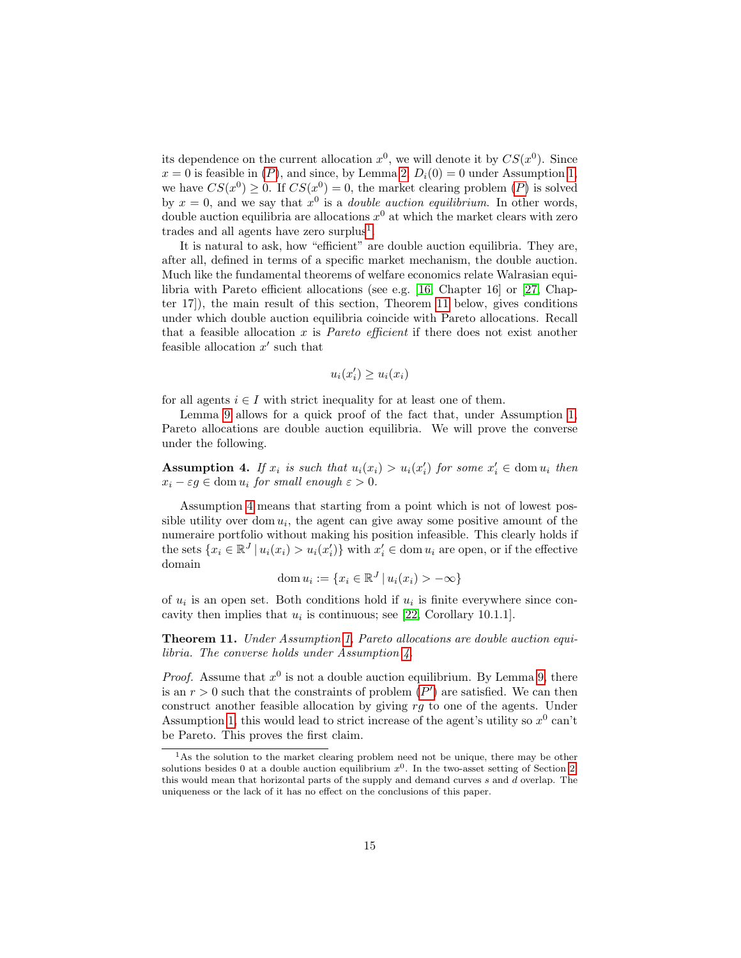its dependence on the current allocation  $x^0$ , we will denote it by  $CS(x^0)$ . Since  $x = 0$  is feasible in  $(P)$  $(P)$  $(P)$ , and since, by Lemma [2,](#page-9-1)  $D_i(0) = 0$  under Assumption [1,](#page-7-0) we have  $CS(x^0) \geq 0$ . If  $CS(x^0) = 0$ , the market clearing problem  $(P)$  $(P)$  $(P)$  is solved by  $x = 0$ , and we say that  $x^0$  is a *double auction equilibrium*. In other words, double auction equilibria are allocations  $x^0$  at which the market clears with zero trades and all agents have zero surplus<sup>[1](#page-14-0)</sup>.

It is natural to ask, how "efficient" are double auction equilibria. They are, after all, defined in terms of a specific market mechanism, the double auction. Much like the fundamental theorems of welfare economics relate Walrasian equilibria with Pareto efficient allocations (see e.g. [\[16,](#page-22-7) Chapter 16] or [\[27,](#page-23-1) Chapter 17]), the main result of this section, Theorem [11](#page-14-1) below, gives conditions under which double auction equilibria coincide with Pareto allocations. Recall that a feasible allocation x is *Pareto efficient* if there does not exist another feasible allocation  $x'$  such that

$$
u_i(x_i') \ge u_i(x_i)
$$

for all agents  $i \in I$  with strict inequality for at least one of them.

Lemma [9](#page-12-1) allows for a quick proof of the fact that, under Assumption [1,](#page-7-0) Pareto allocations are double auction equilibria. We will prove the converse under the following.

<span id="page-14-2"></span>**Assumption 4.** If  $x_i$  is such that  $u_i(x_i) > u_i(x'_i)$  for some  $x'_i \in \text{dom } u_i$  then  $x_i - \varepsilon g \in \text{dom } u_i \text{ for small enough } \varepsilon > 0.$ 

Assumption [4](#page-14-2) means that starting from a point which is not of lowest possible utility over dom  $u_i$ , the agent can give away some positive amount of the numeraire portfolio without making his position infeasible. This clearly holds if the sets  $\{x_i \in \mathbb{R}^J \mid u_i(x_i) > u_i(x'_i)\}\$  with  $x'_i \in \text{dom } u_i$  are open, or if the effective domain

$$
\operatorname{dom} u_i := \{ x_i \in \mathbb{R}^J \, | \, u_i(x_i) > -\infty \}
$$

of  $u_i$  is an open set. Both conditions hold if  $u_i$  is finite everywhere since concavity then implies that  $u_i$  is continuous; see [\[22,](#page-22-6) Corollary 10.1.1].

<span id="page-14-1"></span>**Theorem 11.** Under Assumption [1,](#page-7-0) Pareto allocations are double auction equilibria. The converse holds under Assumption [4.](#page-14-2)

*Proof.* Assume that  $x^0$  is not a double auction equilibrium. By Lemma [9,](#page-12-1) there is an  $r > 0$  such that the constraints of problem  $(P')$  $(P')$  $(P')$  are satisfied. We can then construct another feasible allocation by giving  $rg$  to one of the agents. Under Assumption [1,](#page-7-0) this would lead to strict increase of the agent's utility so  $x^0$  can't be Pareto. This proves the first claim.

<span id="page-14-0"></span><sup>&</sup>lt;sup>1</sup>As the solution to the market clearing problem need not be unique, there may be other solutions besides 0 at a double auction equilibrium  $x^0$ . In the two-asset setting of Section [2,](#page-2-1) this would mean that horizontal parts of the supply and demand curves s and d overlap. The uniqueness or the lack of it has no effect on the conclusions of this paper.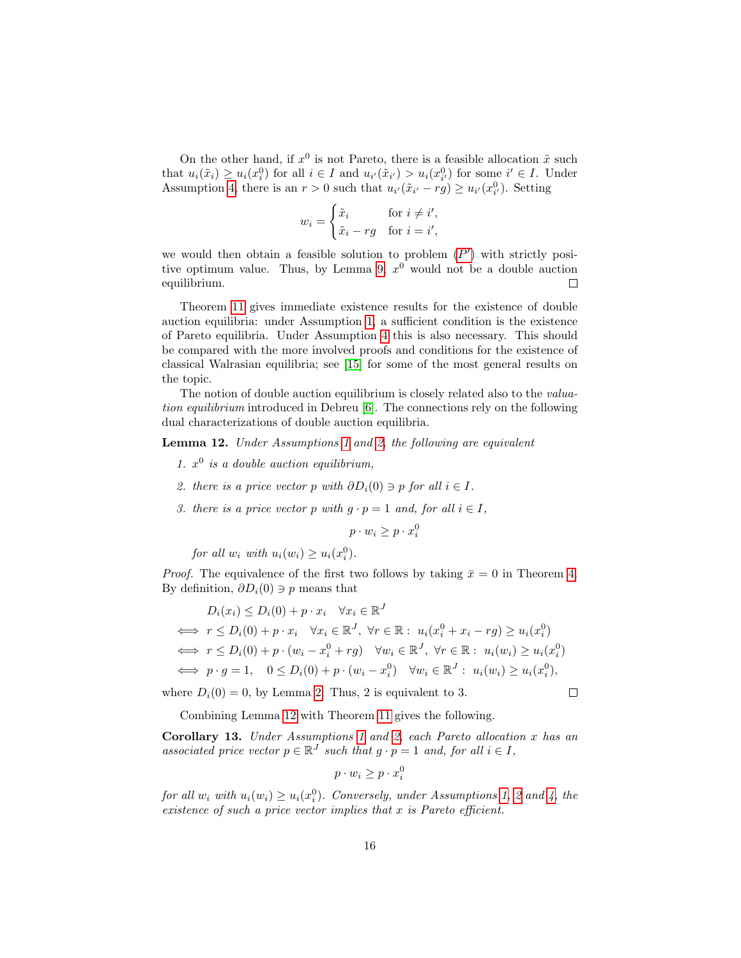On the other hand, if  $x^0$  is not Pareto, there is a feasible allocation  $\tilde{x}$  such that  $u_i(\tilde{x}_i) \ge u_i(x_i^0)$  for all  $i \in I$  and  $u_{i'}(\tilde{x}_{i'}) > u_i(x_{i'}^0)$  for some  $i' \in I$ . Under Assumption [4,](#page-14-2) there is an  $r > 0$  such that  $u_{i'}(\tilde{x}_{i'} - rg) \ge u_{i'}(x_{i'}^0)$ . Setting

$$
w_i = \begin{cases} \tilde{x}_i & \text{for } i \neq i', \\ \tilde{x}_i - rg & \text{for } i = i', \end{cases}
$$

we would then obtain a feasible solution to problem  $(P')$  $(P')$  $(P')$  with strictly posi-tive optimum value. Thus, by Lemma [9,](#page-12-1)  $x^0$  would not be a double auction equilibrium.  $\Box$ 

Theorem [11](#page-14-1) gives immediate existence results for the existence of double auction equilibria: under Assumption [1,](#page-7-0) a sufficient condition is the existence of Pareto equilibria. Under Assumption [4](#page-14-2) this is also necessary. This should be compared with the more involved proofs and conditions for the existence of classical Walrasian equilibria; see [\[15\]](#page-22-13) for some of the most general results on the topic.

The notion of double auction equilibrium is closely related also to the *valua*tion equilibrium introduced in Debreu [\[6\]](#page-21-1). The connections rely on the following dual characterizations of double auction equilibria.

<span id="page-15-0"></span>Lemma 12. Under Assumptions [1](#page-7-0) and [2,](#page-10-0) the following are equivalent

- 1.  $x^0$  is a double auction equilibrium,
- 2. there is a price vector p with  $\partial D_i(0) \ni p$  for all  $i \in I$ .
- 3. there is a price vector p with  $g \cdot p = 1$  and, for all  $i \in I$ ,

$$
p \cdot w_i \ge p \cdot x_i^0
$$

for all  $w_i$  with  $u_i(w_i) \geq u_i(x_i^0)$ .

*Proof.* The equivalence of the first two follows by taking  $\bar{x} = 0$  in Theorem [4.](#page-10-1) By definition,  $\partial D_i(0) \ni p$  means that

$$
D_i(x_i) \le D_i(0) + p \cdot x_i \quad \forall x_i \in \mathbb{R}^J
$$
  
\n
$$
\iff r \le D_i(0) + p \cdot x_i \quad \forall x_i \in \mathbb{R}^J, \ \forall r \in \mathbb{R}: \ u_i(x_i^0 + x_i - rg) \ge u_i(x_i^0)
$$
  
\n
$$
\iff r \le D_i(0) + p \cdot (w_i - x_i^0 + rg) \quad \forall w_i \in \mathbb{R}^J, \ \forall r \in \mathbb{R}: \ u_i(w_i) \ge u_i(x_i^0)
$$
  
\n
$$
\iff p \cdot g = 1, \quad 0 \le D_i(0) + p \cdot (w_i - x_i^0) \quad \forall w_i \in \mathbb{R}^J: \ u_i(w_i) \ge u_i(x_i^0),
$$

 $\Box$ 

where  $D_i(0) = 0$ , by Lemma [2.](#page-9-1) Thus, 2 is equivalent to 3.

Combining Lemma [12](#page-15-0) with Theorem [11](#page-14-1) gives the following.

<span id="page-15-1"></span>Corollary [1](#page-7-0)3. Under Assumptions 1 and [2,](#page-10-0) each Pareto allocation x has an associated price vector  $p \in \mathbb{R}^J$  such that  $g \cdot p = 1$  and, for all  $i \in I$ ,

$$
p \cdot w_i \ge p \cdot x_i^0
$$

for all  $w_i$  with  $u_i(w_i) \geq u_i(x_i^0)$ . Conversely, under Assumptions [1,](#page-7-0) [2](#page-10-0) and [4,](#page-14-2) the existence of such a price vector implies that  $x$  is Pareto efficient.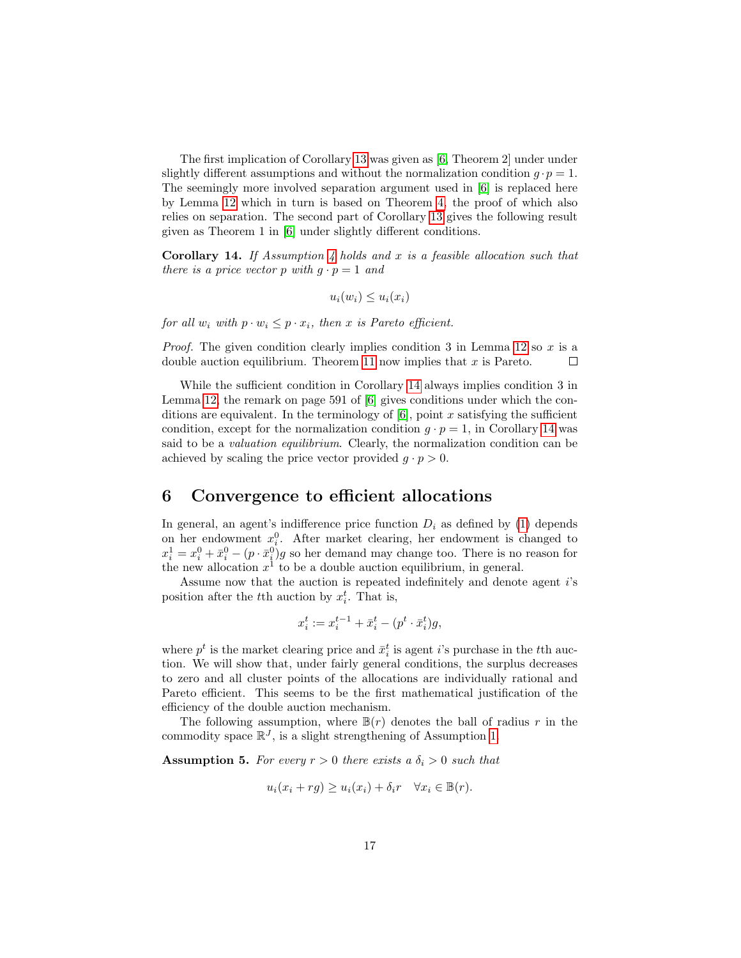The first implication of Corollary [13](#page-15-1) was given as [\[6,](#page-21-1) Theorem 2] under under slightly different assumptions and without the normalization condition  $g \cdot p = 1$ . The seemingly more involved separation argument used in [\[6\]](#page-21-1) is replaced here by Lemma [12](#page-15-0) which in turn is based on Theorem [4,](#page-10-1) the proof of which also relies on separation. The second part of Corollary [13](#page-15-1) gives the following result given as Theorem 1 in [\[6\]](#page-21-1) under slightly different conditions.

<span id="page-16-2"></span>**Corollary 14.** If Assumption [4](#page-14-2) holds and x is a feasible allocation such that there is a price vector p with  $g \cdot p = 1$  and

$$
u_i(w_i) \leq u_i(x_i)
$$

for all  $w_i$  with  $p \cdot w_i \leq p \cdot x_i$ , then x is Pareto efficient.

*Proof.* The given condition clearly implies condition 3 in Lemma [12](#page-15-0) so x is a double auction equilibrium. Theorem [11](#page-14-1) now implies that  $x$  is Pareto.  $\Box$ 

While the sufficient condition in Corollary [14](#page-16-2) always implies condition 3 in Lemma [12,](#page-15-0) the remark on page 591 of [\[6\]](#page-21-1) gives conditions under which the conditions are equivalent. In the terminology of  $[6]$ , point x satisfying the sufficient condition, except for the normalization condition  $g \cdot p = 1$ , in Corollary [14](#page-16-2) was said to be a valuation equilibrium. Clearly, the normalization condition can be achieved by scaling the price vector provided  $g \cdot p > 0$ .

#### <span id="page-16-1"></span>6 Convergence to efficient allocations

In general, an agent's indifference price function  $D_i$  as defined by [\(1\)](#page-6-2) depends on her endowment  $x_i^0$ . After market clearing, her endowment is changed to  $x_i^1 = x_i^0 + \bar{x}_i^0 - (p \cdot \bar{x}_i^0)g$  so her demand may change too. There is no reason for the new allocation  $x^1$  to be a double auction equilibrium, in general.

Assume now that the auction is repeated indefinitely and denote agent i's position after the t<sup>th</sup> auction by  $x_i^t$ . That is,

$$
x_i^t:=x_i^{t-1}+\bar{x}_i^t-(p^t\cdot \bar{x}_i^t)g,
$$

where  $p^t$  is the market clearing price and  $\bar{x}_i^t$  is agent *i*'s purchase in the *t*<sup>th</sup> auction. We will show that, under fairly general conditions, the surplus decreases to zero and all cluster points of the allocations are individually rational and Pareto efficient. This seems to be the first mathematical justification of the efficiency of the double auction mechanism.

The following assumption, where  $\mathbb{B}(r)$  denotes the ball of radius r in the commodity space  $\mathbb{R}^{J}$ , is a slight strengthening of Assumption [1.](#page-7-0)

<span id="page-16-0"></span>**Assumption 5.** For every  $r > 0$  there exists a  $\delta_i > 0$  such that

$$
u_i(x_i+rg) \ge u_i(x_i) + \delta_i r \quad \forall x_i \in \mathbb{B}(r).
$$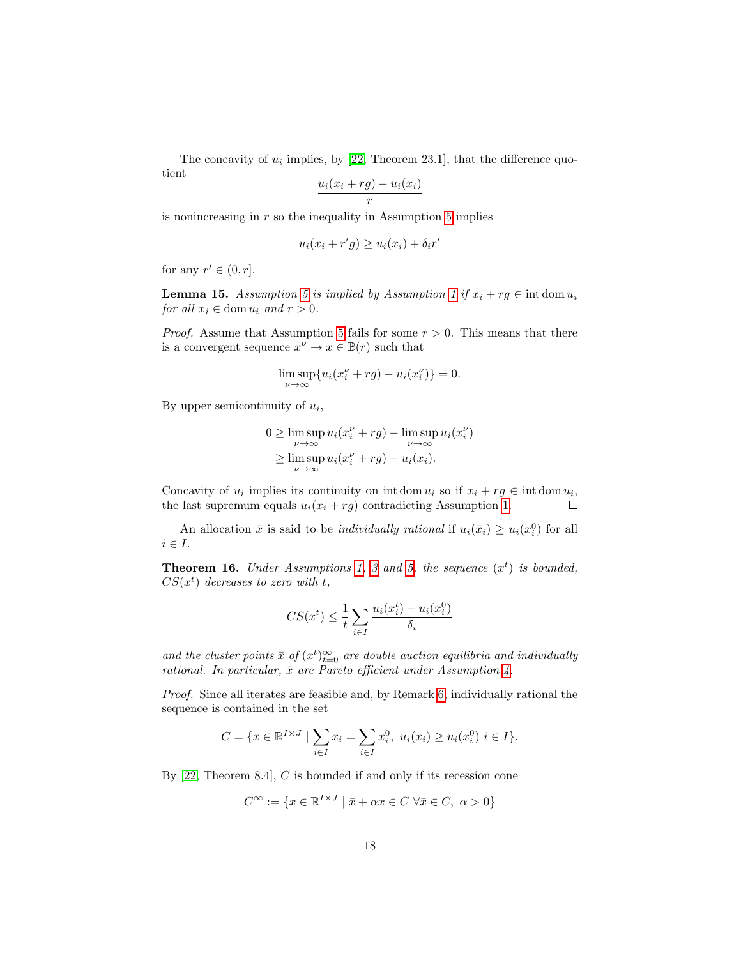The concavity of  $u_i$  implies, by [\[22,](#page-22-6) Theorem 23.1], that the difference quotient

$$
\frac{u_i(x_i+rg)-u_i(x_i)}{r}
$$

is nonincreasing in  $r$  so the inequality in Assumption [5](#page-16-0) implies

$$
u_i(x_i + r'g) \ge u_i(x_i) + \delta_i r'
$$

for any  $r' \in (0, r]$ .

**Lemma [1](#page-7-0)5.** Assumption [5](#page-16-0) is implied by Assumption 1 if  $x_i + rg \in \text{int dom } u_i$ for all  $x_i \in \text{dom } u_i$  and  $r > 0$ .

*Proof.* Assume that Assumption [5](#page-16-0) fails for some  $r > 0$ . This means that there is a convergent sequence  $x^{\nu} \to x \in \mathbb{B}(r)$  such that

$$
\limsup_{\nu \to \infty} \{ u_i(x_i^{\nu} + rg) - u_i(x_i^{\nu}) \} = 0.
$$

By upper semicontinuity of  $u_i$ ,

$$
0 \ge \limsup_{\nu \to \infty} u_i(x_i^{\nu} + rg) - \limsup_{\nu \to \infty} u_i(x_i^{\nu})
$$
  
 
$$
\ge \limsup_{\nu \to \infty} u_i(x_i^{\nu} + rg) - u_i(x_i).
$$

Concavity of  $u_i$  implies its continuity on int dom  $u_i$  so if  $x_i + rg \in \text{int dom } u_i$ , the last supremum equals  $u_i(x_i + rg)$  contradicting Assumption [1.](#page-7-0)  $\Box$ 

An allocation  $\bar{x}$  is said to be *individually rational* if  $u_i(\bar{x}_i) \geq u_i(x_i^0)$  for all  $i \in I$ .

<span id="page-17-0"></span>**Theorem 16.** Under Assumptions [1,](#page-7-0) [3](#page-13-2) and [5,](#page-16-0) the sequence  $(x^t)$  is bounded,  $CS(x^t)$  decreases to zero with t,

$$
CS(x^t) \le \frac{1}{t} \sum_{i \in I} \frac{u_i(x_i^t) - u_i(x_i^0)}{\delta_i}
$$

and the cluster points  $\bar{x}$  of  $(x^t)_{t=0}^{\infty}$  are double auction equilibria and individually rational. In particular,  $\bar{x}$  are Pareto efficient under Assumption [4.](#page-14-2)

Proof. Since all iterates are feasible and, by Remark [6,](#page-11-1) individually rational the sequence is contained in the set

$$
C = \{ x \in \mathbb{R}^{I \times J} \mid \sum_{i \in I} x_i = \sum_{i \in I} x_i^0, \ u_i(x_i) \ge u_i(x_i^0) \ i \in I \}.
$$

By  $[22,$  Theorem 8.4, C is bounded if and only if its recession cone

$$
C^{\infty} := \{ x \in \mathbb{R}^{I \times J} \mid \bar{x} + \alpha x \in C \ \forall \bar{x} \in C, \ \alpha > 0 \}
$$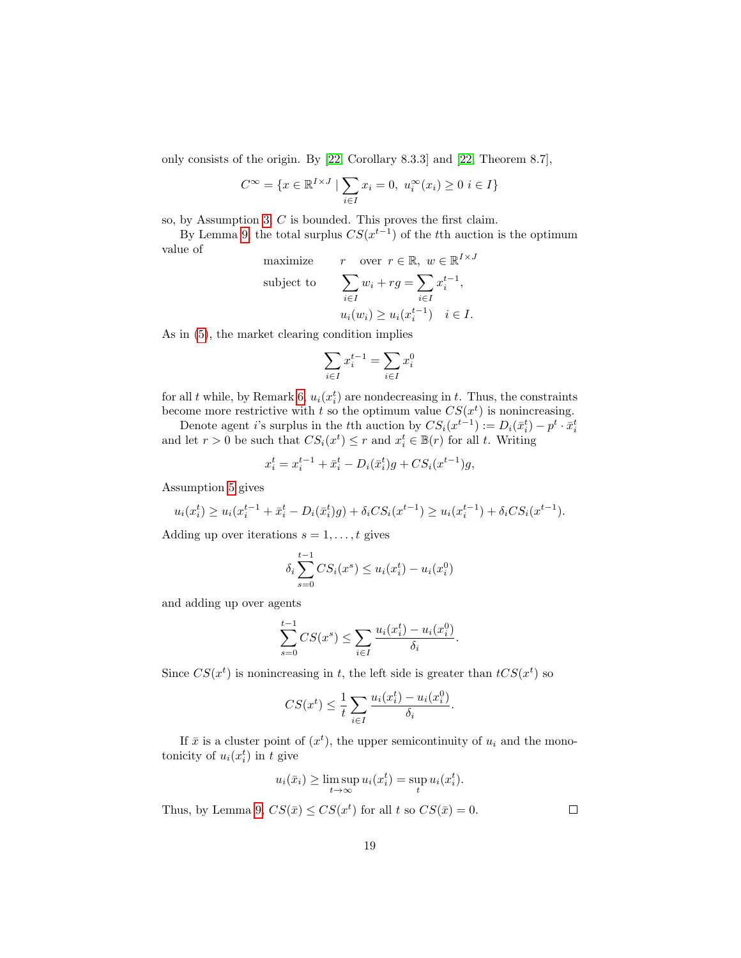only consists of the origin. By [\[22,](#page-22-6) Corollary 8.3.3] and [\[22,](#page-22-6) Theorem 8.7],

$$
C^{\infty} = \{ x \in \mathbb{R}^{I \times J} \mid \sum_{i \in I} x_i = 0, u_i^{\infty}(x_i) \ge 0 \ i \in I \}
$$

so, by Assumption [3,](#page-13-2) C is bounded. This proves the first claim.

By Lemma [9,](#page-12-1) the total surplus  $CS(x^{t-1})$  of the tth auction is the optimum value of  $\overline{I}$   $\overline{I}$ 

maximize 
$$
r
$$
 over  $r \in \mathbb{R}$ ,  $w \in \mathbb{R}^{I \times J}$   
\nsubject to 
$$
\sum_{i \in I} w_i + rg = \sum_{i \in I} x_i^{t-1},
$$

$$
u_i(w_i) \ge u_i(x_i^{t-1}) \quad i \in I.
$$

As in [\(5\)](#page-10-4), the market clearing condition implies

$$
\sum_{i \in I} x_i^{t-1} = \sum_{i \in I} x_i^0
$$

for all t while, by Remark [6,](#page-11-1)  $u_i(x_i^t)$  are nondecreasing in t. Thus, the constraints become more restrictive with t so the optimum value  $CS(x^t)$  is nonincreasing.

Denote agent *i*'s surplus in the *t*<sup>th</sup> auction by  $CS_i(x^{t-1}) := D_i(\bar{x}_i^t) - p^t \cdot \bar{x}_i^t$ and let  $r > 0$  be such that  $CS_i(x^t) \leq r$  and  $x_i^t \in \mathbb{B}(r)$  for all t. Writing

$$
x_i^t = x_i^{t-1} + \bar{x}_i^t - D_i(\bar{x}_i^t)g + CS_i(x^{t-1})g,
$$

Assumption [5](#page-16-0) gives

$$
u_i(x_i^t) \ge u_i(x_i^{t-1} + \bar{x}_i^t - D_i(\bar{x}_i^t)g) + \delta_i CS_i(x^{t-1}) \ge u_i(x_i^{t-1}) + \delta_i CS_i(x^{t-1}).
$$

Adding up over iterations  $s = 1, \ldots, t$  gives

$$
\delta_i \sum_{s=0}^{t-1} CS_i(x^s) \le u_i(x_i^t) - u_i(x_i^0)
$$

and adding up over agents

$$
\sum_{s=0}^{t-1} CS(x^s) \le \sum_{i \in I} \frac{u_i(x_i^t) - u_i(x_i^0)}{\delta_i}.
$$

Since  $CS(x^t)$  is nonincreasing in t, the left side is greater than  $tCS(x^t)$  so

$$
CS(x^{t}) \leq \frac{1}{t} \sum_{i \in I} \frac{u_i(x_i^{t}) - u_i(x_i^{0})}{\delta_i}.
$$

If  $\bar{x}$  is a cluster point of  $(x^t)$ , the upper semicontinuity of  $u_i$  and the monotonicity of  $u_i(x_i^t)$  in t give

$$
u_i(\bar{x}_i) \ge \limsup_{t \to \infty} u_i(x_i^t) = \sup_t u_i(x_i^t).
$$

Thus, by Lemma [9,](#page-12-1)  $CS(\bar{x}) \leq CS(x^t)$  for all t so  $CS(\bar{x}) = 0$ .

 $\Box$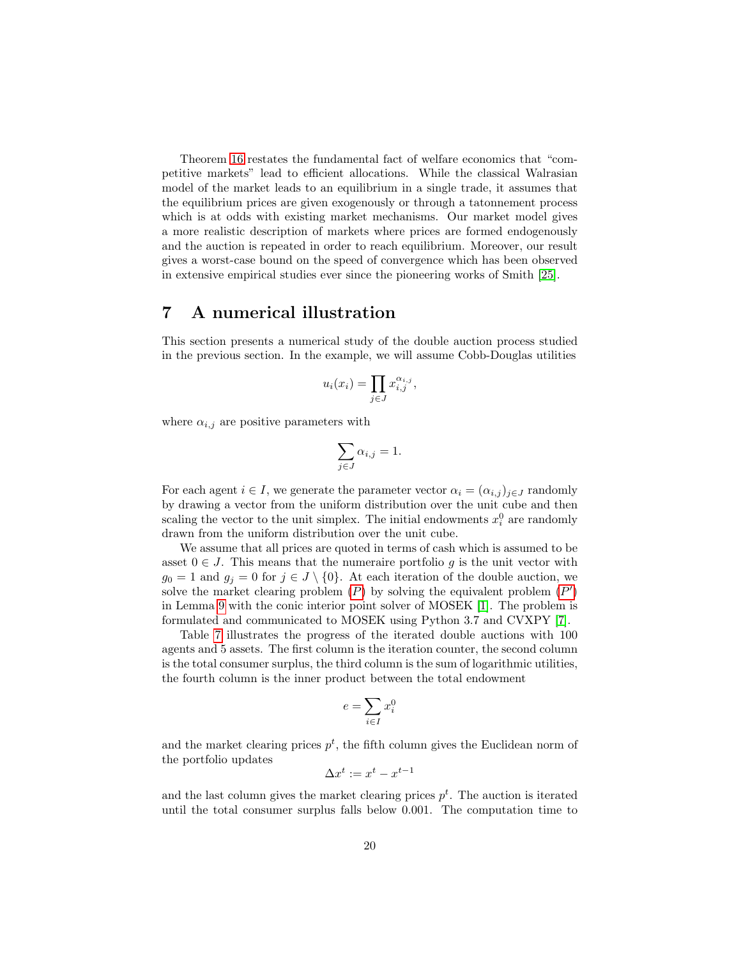Theorem [16](#page-17-0) restates the fundamental fact of welfare economics that "competitive markets" lead to efficient allocations. While the classical Walrasian model of the market leads to an equilibrium in a single trade, it assumes that the equilibrium prices are given exogenously or through a tatonnement process which is at odds with existing market mechanisms. Our market model gives a more realistic description of markets where prices are formed endogenously and the auction is repeated in order to reach equilibrium. Moreover, our result gives a worst-case bound on the speed of convergence which has been observed in extensive empirical studies ever since the pioneering works of Smith [\[25\]](#page-22-0).

#### <span id="page-19-0"></span>7 A numerical illustration

This section presents a numerical study of the double auction process studied in the previous section. In the example, we will assume Cobb-Douglas utilities

$$
u_i(x_i) = \prod_{j \in J} x_{i,j}^{\alpha_{i,j}},
$$

where  $\alpha_{i,j}$  are positive parameters with

$$
\sum_{j\in J}\alpha_{i,j}=1.
$$

For each agent  $i \in I$ , we generate the parameter vector  $\alpha_i = (\alpha_{i,j})_{j \in J}$  randomly by drawing a vector from the uniform distribution over the unit cube and then scaling the vector to the unit simplex. The initial endowments  $x_i^0$  are randomly drawn from the uniform distribution over the unit cube.

We assume that all prices are quoted in terms of cash which is assumed to be asset  $0 \in J$ . This means that the numeraire portfolio g is the unit vector with  $g_0 = 1$  and  $g_i = 0$  for  $j \in J \setminus \{0\}$ . At each iteration of the double auction, we solve the market clearing problem  $(P)$  $(P)$  $(P)$  by solving the equivalent problem  $(P')$ in Lemma [9](#page-12-1) with the conic interior point solver of MOSEK [\[1\]](#page-21-7). The problem is formulated and communicated to MOSEK using Python 3.7 and CVXPY [\[7\]](#page-21-8).

Table [7](#page-19-0) illustrates the progress of the iterated double auctions with 100 agents and 5 assets. The first column is the iteration counter, the second column is the total consumer surplus, the third column is the sum of logarithmic utilities, the fourth column is the inner product between the total endowment

$$
e = \sum_{i \in I} x_i^0
$$

and the market clearing prices  $p^t$ , the fifth column gives the Euclidean norm of the portfolio updates

$$
\Delta x^t := x^t - x^{t-1}
$$

and the last column gives the market clearing prices  $p<sup>t</sup>$ . The auction is iterated until the total consumer surplus falls below 0.001. The computation time to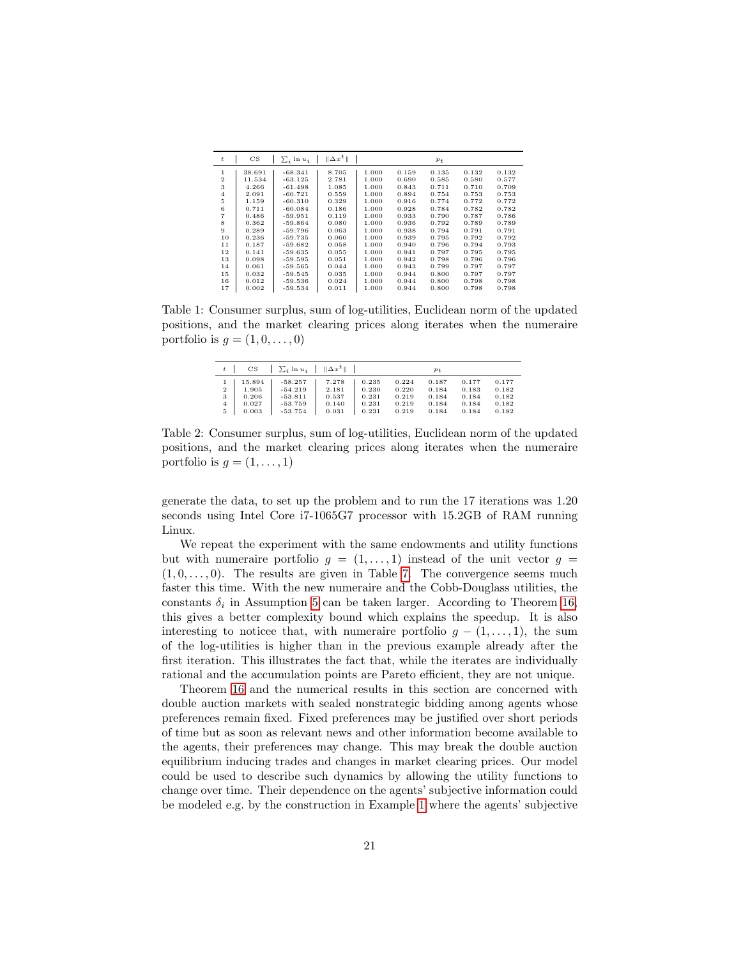| $\mathbf{t}$   | $_{\rm CS}$ | $\sum_i$ ln $u_i$ | $  \Delta x^t  $ |       |       | $p_t$ |       |       |
|----------------|-------------|-------------------|------------------|-------|-------|-------|-------|-------|
| 1              | 38.691      | $-68.341$         | 8.705            | 1.000 | 0.159 | 0.135 | 0.132 | 0.132 |
| $\overline{2}$ | 11.534      | $-63.125$         | 2.781            | 1.000 | 0.690 | 0.585 | 0.580 | 0.577 |
| 3              | 4.266       | $-61.498$         | 1.085            | 1.000 | 0.843 | 0.711 | 0.710 | 0.709 |
| $\overline{4}$ | 2.091       | $-60.721$         | 0.559            | 1.000 | 0.894 | 0.754 | 0.753 | 0.753 |
| 5              | 1.159       | $-60.310$         | 0.329            | 1.000 | 0.916 | 0.774 | 0.772 | 0.772 |
| 6              | 0.711       | $-60.084$         | 0.186            | 1.000 | 0.928 | 0.784 | 0.782 | 0.782 |
| $\overline{7}$ | 0.486       | $-59.951$         | 0.119            | 1.000 | 0.933 | 0.790 | 0.787 | 0.786 |
| 8              | 0.362       | $-59.864$         | 0.080            | 1.000 | 0.936 | 0.792 | 0.789 | 0.789 |
| 9              | 0.289       | $-59.796$         | 0.063            | 1.000 | 0.938 | 0.794 | 0.791 | 0.791 |
| 10             | 0.236       | $-59.735$         | 0.060            | 1.000 | 0.939 | 0.795 | 0.792 | 0.792 |
| 11             | 0.187       | $-59.682$         | 0.058            | 1.000 | 0.940 | 0.796 | 0.794 | 0.793 |
| 12             | 0.141       | $-59.635$         | 0.055            | 1.000 | 0.941 | 0.797 | 0.795 | 0.795 |
| 13             | 0.098       | $-59.595$         | 0.051            | 1.000 | 0.942 | 0.798 | 0.796 | 0.796 |
| 14             | 0.061       | $-59.565$         | 0.044            | 1.000 | 0.943 | 0.799 | 0.797 | 0.797 |
| 15             | 0.032       | $-59.545$         | 0.035            | 1.000 | 0.944 | 0.800 | 0.797 | 0.797 |
| 16             | 0.012       | $-59.536$         | 0.024            | 1.000 | 0.944 | 0.800 | 0.798 | 0.798 |
| 17             | 0.002       | $-59.534$         | 0.011            | 1.000 | 0.944 | 0.800 | 0.798 | 0.798 |

<span id="page-20-0"></span>Table 1: Consumer surplus, sum of log-utilities, Euclidean norm of the updated positions, and the market clearing prices along iterates when the numeraire portfolio is  $g = (1, 0, \ldots, 0)$ 

| $_{\rm CS}$                                                        | $\sum_i \ln u_i$ $\ \Delta x^t\ $                             |                                           |                                           |                                           |                                           | $p_t$                                     |                                           |  |
|--------------------------------------------------------------------|---------------------------------------------------------------|-------------------------------------------|-------------------------------------------|-------------------------------------------|-------------------------------------------|-------------------------------------------|-------------------------------------------|--|
| 15.894<br>$\,2$<br>1.905<br>3<br>0.206<br>0.027<br>4<br>5<br>0.003 | $-58.257$<br>$-54.219$<br>$-53.811$<br>$-53.759$<br>$-53.754$ | 7.278<br>2.181<br>0.537<br>0.140<br>0.031 | 0.235<br>0.230<br>0.231<br>0.231<br>0.231 | 0.224<br>0.220<br>0.219<br>0.219<br>0.219 | 0.187<br>0.184<br>0.184<br>0.184<br>0.184 | 0.177<br>0.183<br>0.184<br>0.184<br>0.184 | 0.177<br>0.182<br>0.182<br>0.182<br>0.182 |  |

Table 2: Consumer surplus, sum of log-utilities, Euclidean norm of the updated positions, and the market clearing prices along iterates when the numeraire portfolio is  $q = (1, \ldots, 1)$ 

generate the data, to set up the problem and to run the 17 iterations was 1.20 seconds using Intel Core i7-1065G7 processor with 15.2GB of RAM running Linux.

We repeat the experiment with the same endowments and utility functions but with numeraire portfolio  $g = (1, \ldots, 1)$  instead of the unit vector  $g =$  $(1, 0, \ldots, 0)$ . The results are given in Table [7.](#page-20-0) The convergence seems much faster this time. With the new numeraire and the Cobb-Douglass utilities, the constants  $\delta_i$  in Assumption [5](#page-16-0) can be taken larger. According to Theorem [16,](#page-17-0) this gives a better complexity bound which explains the speedup. It is also interesting to noticee that, with numeraire portfolio  $g - (1, \ldots, 1)$ , the sum of the log-utilities is higher than in the previous example already after the first iteration. This illustrates the fact that, while the iterates are individually rational and the accumulation points are Pareto efficient, they are not unique.

Theorem [16](#page-17-0) and the numerical results in this section are concerned with double auction markets with sealed nonstrategic bidding among agents whose preferences remain fixed. Fixed preferences may be justified over short periods of time but as soon as relevant news and other information become available to the agents, their preferences may change. This may break the double auction equilibrium inducing trades and changes in market clearing prices. Our model could be used to describe such dynamics by allowing the utility functions to change over time. Their dependence on the agents' subjective information could be modeled e.g. by the construction in Example [1](#page-8-0) where the agents' subjective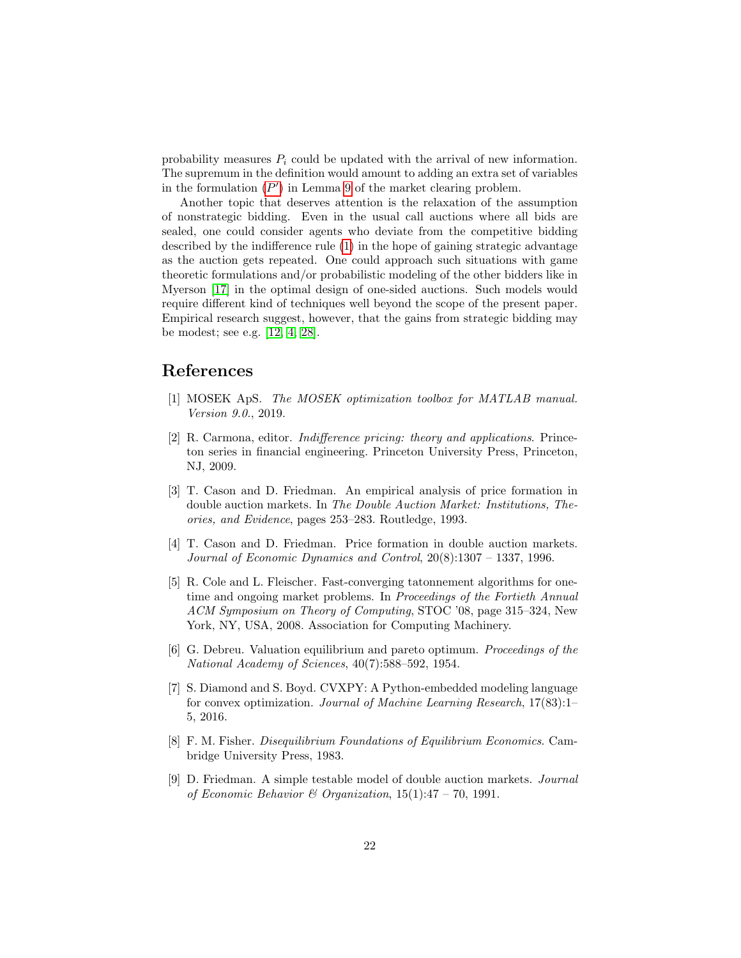probability measures  $P_i$  could be updated with the arrival of new information. The supremum in the definition would amount to adding an extra set of variables in the formulation  $(P')$  $(P')$  $(P')$  in Lemma [9](#page-12-1) of the market clearing problem.

Another topic that deserves attention is the relaxation of the assumption of nonstrategic bidding. Even in the usual call auctions where all bids are sealed, one could consider agents who deviate from the competitive bidding described by the indifference rule [\(1\)](#page-6-2) in the hope of gaining strategic advantage as the auction gets repeated. One could approach such situations with game theoretic formulations and/or probabilistic modeling of the other bidders like in Myerson [\[17\]](#page-22-14) in the optimal design of one-sided auctions. Such models would require different kind of techniques well beyond the scope of the present paper. Empirical research suggest, however, that the gains from strategic bidding may be modest; see e.g. [\[12,](#page-22-15) [4,](#page-21-0) [28\]](#page-23-2).

### References

- <span id="page-21-7"></span>[1] MOSEK ApS. The MOSEK optimization toolbox for MATLAB manual. Version 9.0., 2019.
- <span id="page-21-6"></span>[2] R. Carmona, editor. Indifference pricing: theory and applications. Princeton series in financial engineering. Princeton University Press, Princeton, NJ, 2009.
- <span id="page-21-5"></span>[3] T. Cason and D. Friedman. An empirical analysis of price formation in double auction markets. In The Double Auction Market: Institutions, Theories, and Evidence, pages 253–283. Routledge, 1993.
- <span id="page-21-0"></span>[4] T. Cason and D. Friedman. Price formation in double auction markets. Journal of Economic Dynamics and Control, 20(8):1307 – 1337, 1996.
- <span id="page-21-3"></span>[5] R. Cole and L. Fleischer. Fast-converging tatonnement algorithms for onetime and ongoing market problems. In Proceedings of the Fortieth Annual ACM Symposium on Theory of Computing, STOC '08, page 315–324, New York, NY, USA, 2008. Association for Computing Machinery.
- <span id="page-21-1"></span>[6] G. Debreu. Valuation equilibrium and pareto optimum. Proceedings of the National Academy of Sciences, 40(7):588–592, 1954.
- <span id="page-21-8"></span>[7] S. Diamond and S. Boyd. CVXPY: A Python-embedded modeling language for convex optimization. Journal of Machine Learning Research, 17(83):1– 5, 2016.
- <span id="page-21-2"></span>[8] F. M. Fisher. Disequilibrium Foundations of Equilibrium Economics. Cambridge University Press, 1983.
- <span id="page-21-4"></span>[9] D. Friedman. A simple testable model of double auction markets. Journal of Economic Behavior & Organization,  $15(1):47 - 70$ , 1991.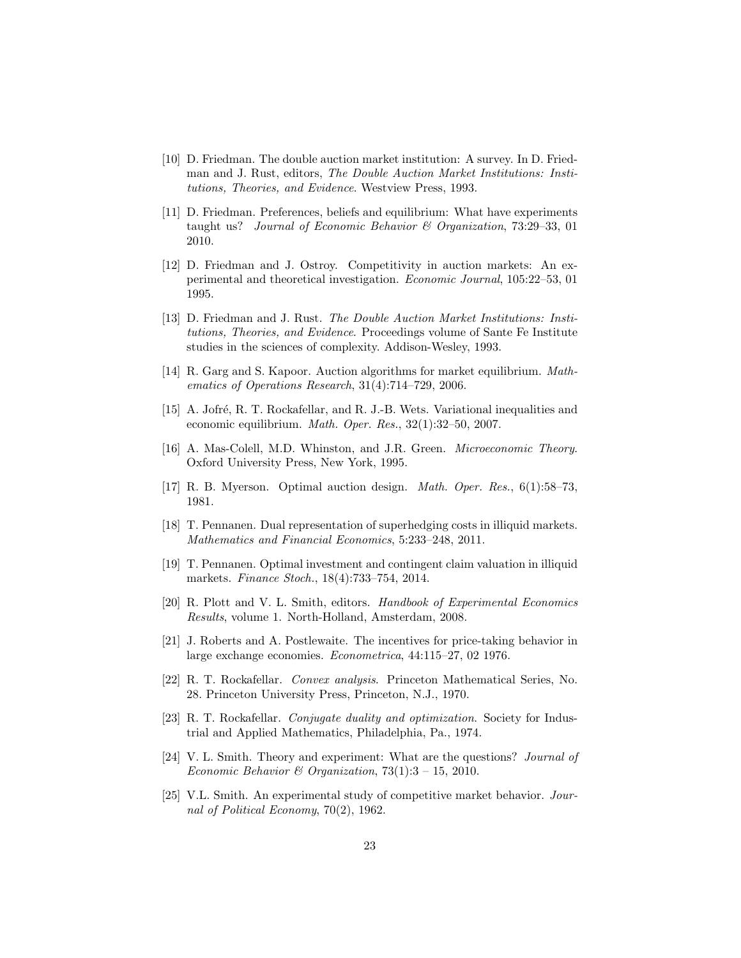- <span id="page-22-4"></span>[10] D. Friedman. The double auction market institution: A survey. In D. Friedman and J. Rust, editors, The Double Auction Market Institutions: Institutions, Theories, and Evidence. Westview Press, 1993.
- <span id="page-22-9"></span>[11] D. Friedman. Preferences, beliefs and equilibrium: What have experiments taught us? Journal of Economic Behavior & Organization, 73:29–33, 01 2010.
- <span id="page-22-15"></span>[12] D. Friedman and J. Ostroy. Competitivity in auction markets: An experimental and theoretical investigation. Economic Journal, 105:22–53, 01 1995.
- <span id="page-22-2"></span>[13] D. Friedman and J. Rust. The Double Auction Market Institutions: Institutions, Theories, and Evidence. Proceedings volume of Sante Fe Institute studies in the sciences of complexity. Addison-Wesley, 1993.
- <span id="page-22-5"></span>[14] R. Garg and S. Kapoor. Auction algorithms for market equilibrium. Mathematics of Operations Research, 31(4):714–729, 2006.
- <span id="page-22-13"></span>[15] A. Jofré, R. T. Rockafellar, and R. J.-B. Wets. Variational inequalities and economic equilibrium. Math. Oper. Res., 32(1):32–50, 2007.
- <span id="page-22-7"></span>[16] A. Mas-Colell, M.D. Whinston, and J.R. Green. Microeconomic Theory. Oxford University Press, New York, 1995.
- <span id="page-22-14"></span>[17] R. B. Myerson. Optimal auction design. Math. Oper. Res., 6(1):58–73, 1981.
- <span id="page-22-11"></span>[18] T. Pennanen. Dual representation of superhedging costs in illiquid markets. Mathematics and Financial Economics, 5:233–248, 2011.
- <span id="page-22-10"></span>[19] T. Pennanen. Optimal investment and contingent claim valuation in illiquid markets. Finance Stoch., 18(4):733–754, 2014.
- <span id="page-22-3"></span>[20] R. Plott and V. L. Smith, editors. Handbook of Experimental Economics Results, volume 1. North-Holland, Amsterdam, 2008.
- <span id="page-22-8"></span>[21] J. Roberts and A. Postlewaite. The incentives for price-taking behavior in large exchange economies. Econometrica, 44:115–27, 02 1976.
- <span id="page-22-6"></span>[22] R. T. Rockafellar. Convex analysis. Princeton Mathematical Series, No. 28. Princeton University Press, Princeton, N.J., 1970.
- <span id="page-22-12"></span>[23] R. T. Rockafellar. Conjugate duality and optimization. Society for Industrial and Applied Mathematics, Philadelphia, Pa., 1974.
- <span id="page-22-1"></span>[24] V. L. Smith. Theory and experiment: What are the questions? Journal of Economic Behavior & Organization,  $73(1):3 - 15$ , 2010.
- <span id="page-22-0"></span>[25] V.L. Smith. An experimental study of competitive market behavior. Journal of Political Economy, 70(2), 1962.